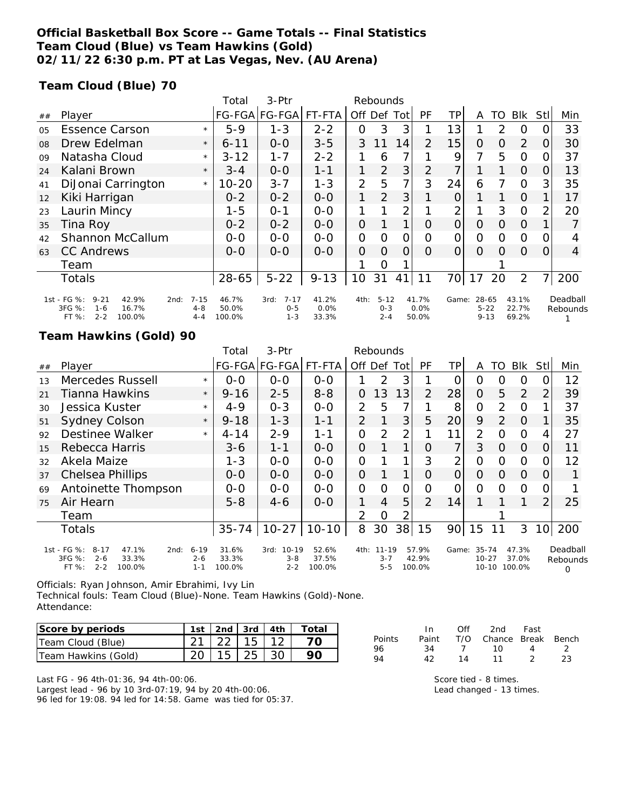### **Official Basketball Box Score -- Game Totals -- Final Statistics Team Cloud (Blue) vs Team Hawkins (Gold) 02/11/22 6:30 p.m. PT at Las Vegas, Nev. (AU Arena)**

### **Team Cloud (Blue) 70**

|    |                                                                                                      |                                | Total                    | 3-Ptr                                  | Rebounds               |                |                                |          |                        |          |                               |    |                         |          |                      |
|----|------------------------------------------------------------------------------------------------------|--------------------------------|--------------------------|----------------------------------------|------------------------|----------------|--------------------------------|----------|------------------------|----------|-------------------------------|----|-------------------------|----------|----------------------|
| ## | Player                                                                                               |                                |                          | FG-FGA FG-FGA                          | FT-FTA                 | Off            | Def                            | Tot      | <b>PF</b>              | TР       | A                             | TO | <b>Blk</b>              | StII     | Min                  |
| 05 | <b>Essence Carson</b>                                                                                | $\star$                        | $5-9$                    | $1 - 3$                                | $2 - 2$                | 0              | 3                              | 3        |                        | 13       |                               | 2  | O                       | 0        | 33                   |
| 08 | Drew Edelman                                                                                         | $\star$                        | $6 - 11$                 | $0-0$                                  | $3 - 5$                | 3              | 11                             | 14       | $\overline{2}$         | 15       | 0                             | O  | 2                       | 0        | 30                   |
| 09 | Natasha Cloud                                                                                        | $\star$                        | $3 - 12$                 | $1 - 7$                                | $2 - 2$                |                | 6                              | 7        |                        | 9        | 7                             | 5  | $\Omega$                | 0        | 37                   |
| 24 | Kalani Brown                                                                                         | $\star$                        | $3 - 4$                  | $O-O$                                  | $1 - 1$                | 1              | $\overline{2}$                 | 3        | 2                      | 7        |                               |    | 0                       | O        | 13                   |
| 41 | DiJonai Carrington                                                                                   | $\star$                        | $10 - 20$                | $3 - 7$                                | $1 - 3$                | $\overline{2}$ | 5                              | 7        | 3                      | 24       | 6                             | 7  | $\circ$                 | 3        | 35                   |
| 12 | Kiki Harrigan                                                                                        |                                | $0 - 2$                  | $0 - 2$                                | $0-0$                  | 1              | $\overline{2}$                 | 3        |                        | 0        |                               |    | 0                       |          | 17                   |
| 23 | Laurin Mincy                                                                                         |                                | $1 - 5$                  | $0 - 1$                                | $0 - 0$                |                |                                | 2        |                        | 2        |                               | 3  | $\Omega$                | 2        | 20                   |
| 35 | Tina Roy                                                                                             |                                | $0 - 2$                  | $0 - 2$                                | $0-0$                  | $\overline{O}$ |                                | 1        | $\Omega$               | 0        | $\Omega$                      | 0  | $\Omega$                |          |                      |
| 42 | Shannon McCallum                                                                                     |                                | $0 - 0$                  | $0 - 0$                                | $0-0$                  | $\mathbf{O}$   | $\Omega$                       | 0        | $\Omega$               | 0        | O                             | Ω  | $\Omega$                | 0        |                      |
| 63 | <b>CC Andrews</b>                                                                                    |                                | $O-O$                    | $0 - 0$                                | $0-0$                  | $\Omega$       | $\Omega$                       | $\Omega$ | $\Omega$               | $\Omega$ | $\Omega$                      | 0  | $\Omega$                | $\Omega$ | $\overline{4}$       |
|    | Team                                                                                                 |                                |                          |                                        |                        |                | O                              |          |                        |          |                               |    |                         |          |                      |
|    | <b>Totals</b>                                                                                        |                                | 28-65                    | $5 - 22$                               | $9 - 13$               | 10             | 31                             | 41       | 11                     | 70l      | 17                            | 20 | $\overline{2}$          | 7        | 200                  |
|    | 1st - FG %:<br>$9 - 21$<br>42.9%<br>2nd:<br>3FG %:<br>16.7%<br>$1 - 6$<br>FT %:<br>$2 - 2$<br>100.0% | $7 - 15$<br>$4 - 8$<br>$4 - 4$ | 46.7%<br>50.0%<br>100.0% | $7 - 17$<br>3rd:<br>$0 - 5$<br>$1 - 3$ | 41.2%<br>0.0%<br>33.3% | 4th:           | $5 - 12$<br>$0 - 3$<br>$2 - 4$ |          | 41.7%<br>0.0%<br>50.0% | Game:    | 28-65<br>$5 - 22$<br>$9 - 13$ |    | 43.1%<br>22.7%<br>69.2% |          | Deadball<br>Rebounds |

### **Team Hawkins (Gold) 90**

|    |                                                                                                    |                                | Total                    | 3-Ptr                            | Rebounds                 |                |                                  |                |                          |                 |                                       |               |                          |                 |                           |
|----|----------------------------------------------------------------------------------------------------|--------------------------------|--------------------------|----------------------------------|--------------------------|----------------|----------------------------------|----------------|--------------------------|-----------------|---------------------------------------|---------------|--------------------------|-----------------|---------------------------|
| ## | Player                                                                                             |                                |                          | FG-FGA FG-FGA                    | FT-FTA                   | Off Def        |                                  | Tot            | PF                       | ΤP              | A                                     | TO            | <b>Blk</b>               | Stll            | Min                       |
| 13 | Mercedes Russell                                                                                   | $\star$                        | $0 - 0$                  | $0-0$                            | $0 - 0$                  |                | 2                                | 3              |                          | O               | O                                     | Ο             | 0                        | Ω               | 12                        |
| 21 | Tianna Hawkins                                                                                     | $\star$                        | $9 - 16$                 | $2 - 5$                          | $8 - 8$                  | 0              | 13                               | 13             | $\overline{2}$           | 28              | $\overline{O}$                        | 5             | 2                        | 2               | 39                        |
| 30 | Jessica Kuster                                                                                     | $\star$                        | $4 - 9$                  | $O - 3$                          | $0-0$                    | 2              | 5                                | 7              |                          | 8               | $\overline{O}$                        | 2             | $\Omega$                 |                 | 37                        |
| 51 | <b>Sydney Colson</b>                                                                               | $\star$                        | $9 - 18$                 | $1 - 3$                          | $1 - 1$                  | $\overline{2}$ | 1                                | 3              | 5                        | 20 <sup>°</sup> | 9                                     | $\mathcal{P}$ | $\Omega$                 |                 | 35                        |
| 92 | Destinee Walker                                                                                    | $\star$                        | $4 - 14$                 | $2 - 9$                          | $1 - 1$                  | $\Omega$       | 2                                | $\overline{2}$ |                          | 11              | $\overline{2}$                        | $\Omega$      | $\circ$                  | 4               | 27                        |
| 15 | Rebecca Harris                                                                                     |                                | 3-6                      | $1 - 1$                          | $0 - 0$                  | $\Omega$       |                                  | 1              | Ω                        | 7               | 3                                     | 0             | 0                        | O               | 11                        |
| 32 | Akela Maize                                                                                        |                                | $1 - 3$                  | $0 - 0$                          | $0 - 0$                  | $\mathcal{O}$  |                                  |                | 3                        | 2               | 0                                     | Ο             | $\Omega$                 | O.              | 12                        |
| 37 | Chelsea Phillips                                                                                   |                                | $O-O$                    | $0 - 0$                          | $0 - 0$                  | $\overline{O}$ |                                  | 1              | Ω                        | $\overline{O}$  | $\Omega$                              | 0             | $\Omega$                 | O               |                           |
| 69 | Antoinette Thompson                                                                                |                                | $O-O$                    | $0 - 0$                          | $O-O$                    | $\Omega$       | $\Omega$                         | 0              | Ω                        | O               | $\Omega$                              | 0             | $\circ$                  | 0               |                           |
| 75 | Air Hearn                                                                                          |                                | $5 - 8$                  | $4 - 6$                          | $0-0$                    | 1              | 4                                | 5              | 2                        | 14              |                                       |               |                          | $\overline{2}$  | 25                        |
|    | Team                                                                                               |                                |                          |                                  |                          | 2              | $\overline{O}$                   |                |                          |                 |                                       |               |                          |                 |                           |
|    | Totals                                                                                             |                                | $35 - 74$                | $10 - 27$                        | $10 - 10$                | 8              | 30                               | 38             | 15                       | 90              | 15                                    |               | 3                        | 10 <sup>1</sup> | 200                       |
|    | 1st - FG %:<br>$8 - 17$<br>47.1%<br>2nd:<br>3FG %:<br>33.3%<br>$2 - 6$<br>$2 - 2$<br>FT%<br>100.0% | $6 - 19$<br>$2 - 6$<br>$1 - 1$ | 31.6%<br>33.3%<br>100.0% | 3rd: 10-19<br>$3 - 8$<br>$2 - 2$ | 52.6%<br>37.5%<br>100.0% |                | 4th: 11-19<br>$3 - 7$<br>$5 - 5$ |                | 57.9%<br>42.9%<br>100.0% |                 | Game: 35-74<br>$10 - 27$<br>$10 - 10$ |               | 47.3%<br>37.0%<br>100.0% |                 | Deadball<br>Rebounds<br>O |

Officials: Ryan Johnson, Amir Ebrahimi, Ivy Lin

Technical fouls: Team Cloud (Blue)-None. Team Hawkins (Gold)-None. Attendance:

| Score by periods    |                              |  | 1st   2nd   3rd   4th   Total |
|---------------------|------------------------------|--|-------------------------------|
| Team Cloud (Blue)   | $21 \mid 22 \mid 15 \mid 12$ |  |                               |
| Team Hawkins (Gold) | $20 \mid 15 \mid 25 \mid 30$ |  |                               |

Last FG - 96 4th-01:36, 94 4th-00:06. Largest lead - 96 by 10 3rd-07:19, 94 by 20 4th-00:06. 96 led for 19:08. 94 led for 14:58. Game was tied for 05:37.

|        | - In  | Off | 2nd -                  | - Fast |    |
|--------|-------|-----|------------------------|--------|----|
| Points | Paint |     | T/O Chance Break Bench |        |    |
| 96     | -34   |     | $\sim$ 10              | 4      |    |
| 94     | 42    | 14  | 11                     | - 2    | 23 |

Score tied - 8 times. Lead changed - 13 times.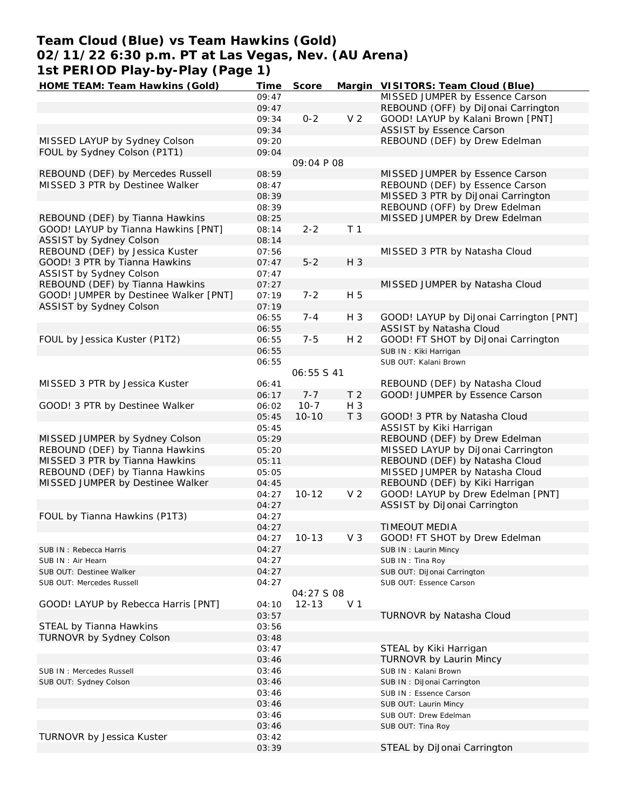## **Team Cloud (Blue) vs Team Hawkins (Gold) 02/11/22 6:30 p.m. PT at Las Vegas, Nev. (AU Arena) 1st PERIOD Play-by-Play (Page 1)**

| HOME TEAM: Team Hawkins (Gold)        | Time  | Score             |                | Margin VISITORS: Team Cloud (Blue)      |
|---------------------------------------|-------|-------------------|----------------|-----------------------------------------|
|                                       | 09:47 |                   |                | MISSED JUMPER by Essence Carson         |
|                                       | 09:47 |                   |                | REBOUND (OFF) by DiJonai Carrington     |
|                                       | 09:34 | $0 - 2$           | V <sub>2</sub> | GOOD! LAYUP by Kalani Brown [PNT]       |
|                                       | 09:34 |                   |                | ASSIST by Essence Carson                |
| MISSED LAYUP by Sydney Colson         | 09:20 |                   |                | REBOUND (DEF) by Drew Edelman           |
| FOUL by Sydney Colson (P1T1)          | 09:04 |                   |                |                                         |
|                                       |       | 09:04 P 08        |                |                                         |
| REBOUND (DEF) by Mercedes Russell     | 08:59 |                   |                | MISSED JUMPER by Essence Carson         |
| MISSED 3 PTR by Destinee Walker       | 08:47 |                   |                | REBOUND (DEF) by Essence Carson         |
|                                       | 08:39 |                   |                | MISSED 3 PTR by DiJonai Carrington      |
|                                       | 08:39 |                   |                | REBOUND (OFF) by Drew Edelman           |
| REBOUND (DEF) by Tianna Hawkins       | 08:25 |                   |                | MISSED JUMPER by Drew Edelman           |
| GOOD! LAYUP by Tianna Hawkins [PNT]   | 08:14 | $2 - 2$           | T <sub>1</sub> |                                         |
| ASSIST by Sydney Colson               | 08:14 |                   |                |                                         |
| REBOUND (DEF) by Jessica Kuster       | 07:56 |                   |                | MISSED 3 PTR by Natasha Cloud           |
| GOOD! 3 PTR by Tianna Hawkins         | 07:47 | $5 - 2$           | H 3            |                                         |
| ASSIST by Sydney Colson               | 07:47 |                   |                |                                         |
| REBOUND (DEF) by Tianna Hawkins       |       |                   |                |                                         |
|                                       | 07:27 |                   |                | MISSED JUMPER by Natasha Cloud          |
| GOOD! JUMPER by Destinee Walker [PNT] | 07:19 | $7 - 2$           | H 5            |                                         |
| ASSIST by Sydney Colson               | 07:19 |                   |                |                                         |
|                                       | 06:55 | $7 - 4$           | $H_3$          | GOOD! LAYUP by DiJonai Carrington [PNT] |
|                                       | 06:55 |                   |                | ASSIST by Natasha Cloud                 |
| FOUL by Jessica Kuster (P1T2)         | 06:55 | $7 - 5$           | H <sub>2</sub> | GOOD! FT SHOT by DiJonai Carrington     |
|                                       | 06:55 |                   |                | SUB IN: Kiki Harrigan                   |
|                                       | 06:55 |                   |                | SUB OUT: Kalani Brown                   |
|                                       |       | <i>06:55 S 41</i> |                |                                         |
| MISSED 3 PTR by Jessica Kuster        | 06:41 |                   |                | REBOUND (DEF) by Natasha Cloud          |
|                                       | 06:17 | $7 - 7$           | T <sub>2</sub> | GOOD! JUMPER by Essence Carson          |
| GOOD! 3 PTR by Destinee Walker        | 06:02 | $10-7$            | $H_3$          |                                         |
|                                       | 05:45 | $10 - 10$         | T 3            | GOOD! 3 PTR by Natasha Cloud            |
|                                       | 05:45 |                   |                | ASSIST by Kiki Harrigan                 |
| MISSED JUMPER by Sydney Colson        | 05:29 |                   |                | REBOUND (DEF) by Drew Edelman           |
| REBOUND (DEF) by Tianna Hawkins       | 05:20 |                   |                | MISSED LAYUP by DiJonai Carrington      |
| MISSED 3 PTR by Tianna Hawkins        | 05:11 |                   |                | REBOUND (DEF) by Natasha Cloud          |
| REBOUND (DEF) by Tianna Hawkins       | 05:05 |                   |                | MISSED JUMPER by Natasha Cloud          |
| MISSED JUMPER by Destinee Walker      | 04:45 |                   |                | REBOUND (DEF) by Kiki Harrigan          |
|                                       | 04:27 | $10 - 12$         | V <sub>2</sub> | GOOD! LAYUP by Drew Edelman [PNT]       |
|                                       | 04:27 |                   |                | ASSIST by DiJonai Carrington            |
| FOUL by Tianna Hawkins (P1T3)         | 04:27 |                   |                |                                         |
|                                       | 04:27 |                   |                | TIMEOUT MEDIA                           |
|                                       | 04:27 | $10 - 13$         | V <sub>3</sub> | GOOD! FT SHOT by Drew Edelman           |
| SUB IN: Rebecca Harris                | 04:27 |                   |                | SUB IN: Laurin Mincy                    |
| SUB IN: Air Hearn                     | 04:27 |                   |                | SUB IN: Tina Roy                        |
| SUB OUT: Destinee Walker              | 04:27 |                   |                | SUB OUT: DiJonai Carrington             |
| SUB OUT: Mercedes Russell             | 04:27 |                   |                | SUB OUT: Essence Carson                 |
|                                       |       | 04:27 S 08        |                |                                         |
| GOOD! LAYUP by Rebecca Harris [PNT]   | 04:10 | $12 - 13$         | V <sub>1</sub> |                                         |
|                                       | 03:57 |                   |                | TURNOVR by Natasha Cloud                |
| STEAL by Tianna Hawkins               | 03:56 |                   |                |                                         |
| TURNOVR by Sydney Colson              | 03:48 |                   |                |                                         |
|                                       |       |                   |                |                                         |
|                                       | 03:47 |                   |                | STEAL by Kiki Harrigan                  |
|                                       | 03:46 |                   |                | TURNOVR by Laurin Mincy                 |
| SUB IN: Mercedes Russell              | 03:46 |                   |                | SUB IN: Kalani Brown                    |
| SUB OUT: Sydney Colson                | 03:46 |                   |                | SUB IN: DiJonai Carrington              |
|                                       | 03:46 |                   |                | SUB IN: Essence Carson                  |
|                                       | 03:46 |                   |                | SUB OUT: Laurin Mincy                   |
|                                       | 03:46 |                   |                | SUB OUT: Drew Edelman                   |
|                                       | 03:46 |                   |                | SUB OUT: Tina Roy                       |
| TURNOVR by Jessica Kuster             | 03:42 |                   |                |                                         |
|                                       | 03:39 |                   |                | STEAL by DiJonai Carrington             |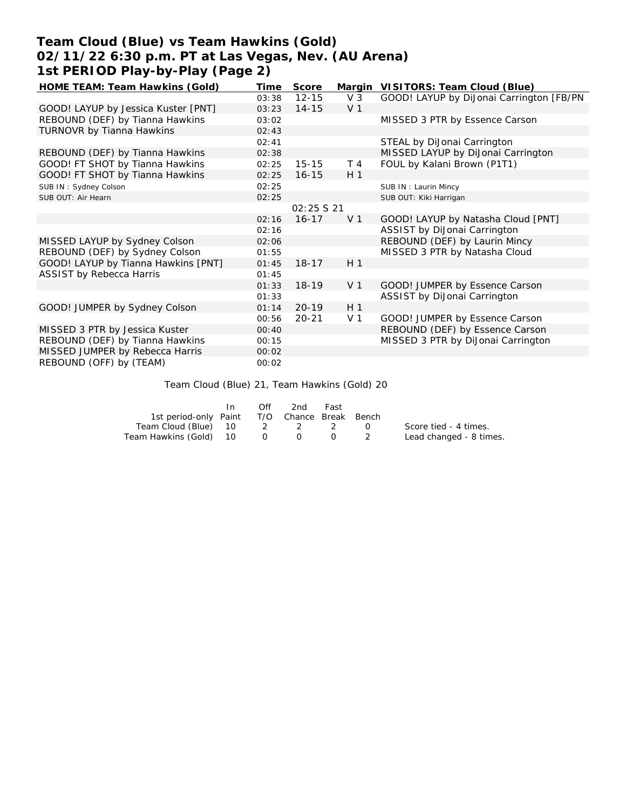# **Team Cloud (Blue) vs Team Hawkins (Gold) 02/11/22 6:30 p.m. PT at Las Vegas, Nev. (AU Arena) 1st PERIOD Play-by-Play (Page 2)**

| HOME TEAM: Team Hawkins (Gold)      | Time  | Score       |                | Margin VISITORS: Team Cloud (Blue)       |
|-------------------------------------|-------|-------------|----------------|------------------------------------------|
|                                     | 03:38 | $12 - 15$   | $V_3$          | GOOD! LAYUP by DiJonai Carrington [FB/PN |
| GOOD! LAYUP by Jessica Kuster [PNT] | 03:23 | $14 - 15$   | V <sub>1</sub> |                                          |
| REBOUND (DEF) by Tianna Hawkins     | 03:02 |             |                | MISSED 3 PTR by Essence Carson           |
| TURNOVR by Tianna Hawkins           | 02:43 |             |                |                                          |
|                                     | 02:41 |             |                | STEAL by DiJonai Carrington              |
| REBOUND (DEF) by Tianna Hawkins     | 02:38 |             |                | MISSED LAYUP by DiJonai Carrington       |
| GOOD! FT SHOT by Tianna Hawkins     | 02:25 | $15 - 15$   | T <sub>4</sub> | FOUL by Kalani Brown (P1T1)              |
| GOOD! FT SHOT by Tianna Hawkins     | 02:25 | $16 - 15$   | H <sub>1</sub> |                                          |
| SUB IN: Sydney Colson               | 02:25 |             |                | SUB IN: Laurin Mincy                     |
| SUB OUT: Air Hearn                  | 02:25 |             |                | SUB OUT: Kiki Harrigan                   |
|                                     |       | 02:25 \$ 21 |                |                                          |
|                                     | 02:16 | $16 - 17$   | V <sub>1</sub> | GOOD! LAYUP by Natasha Cloud [PNT]       |
|                                     | 02:16 |             |                | ASSIST by DiJonai Carrington             |
| MISSED LAYUP by Sydney Colson       | 02:06 |             |                | REBOUND (DEF) by Laurin Mincy            |
| REBOUND (DEF) by Sydney Colson      | 01:55 |             |                | MISSED 3 PTR by Natasha Cloud            |
| GOOD! LAYUP by Tianna Hawkins [PNT] | 01:45 | $18 - 17$   | H <sub>1</sub> |                                          |
| ASSIST by Rebecca Harris            | 01:45 |             |                |                                          |
|                                     | 01:33 | $18 - 19$   | V <sub>1</sub> | GOOD! JUMPER by Essence Carson           |
|                                     | 01:33 |             |                | ASSIST by DiJonai Carrington             |
| GOOD! JUMPER by Sydney Colson       | 01:14 | $20 - 19$   | H <sub>1</sub> |                                          |
|                                     | 00:56 | $20 - 21$   | V <sub>1</sub> | GOOD! JUMPER by Essence Carson           |
| MISSED 3 PTR by Jessica Kuster      | 00:40 |             |                | REBOUND (DEF) by Essence Carson          |
| REBOUND (DEF) by Tianna Hawkins     | 00:15 |             |                | MISSED 3 PTR by DiJonai Carrington       |
| MISSED JUMPER by Rebecca Harris     | 00:02 |             |                |                                          |
| REBOUND (OFF) by (TEAM)             | 00:02 |             |                |                                          |

#### Team Cloud (Blue) 21, Team Hawkins (Gold) 20

|                                              | In 1 | Off | 2nd | Fast |                         |
|----------------------------------------------|------|-----|-----|------|-------------------------|
| 1st period-only Paint T/O Chance Break Bench |      |     |     |      |                         |
| Team Cloud (Blue) 10 2 2 2 0                 |      |     |     |      | Score tied - 4 times.   |
| Team Hawkins (Gold) 10 0 0                   |      |     |     |      | Lead changed - 8 times. |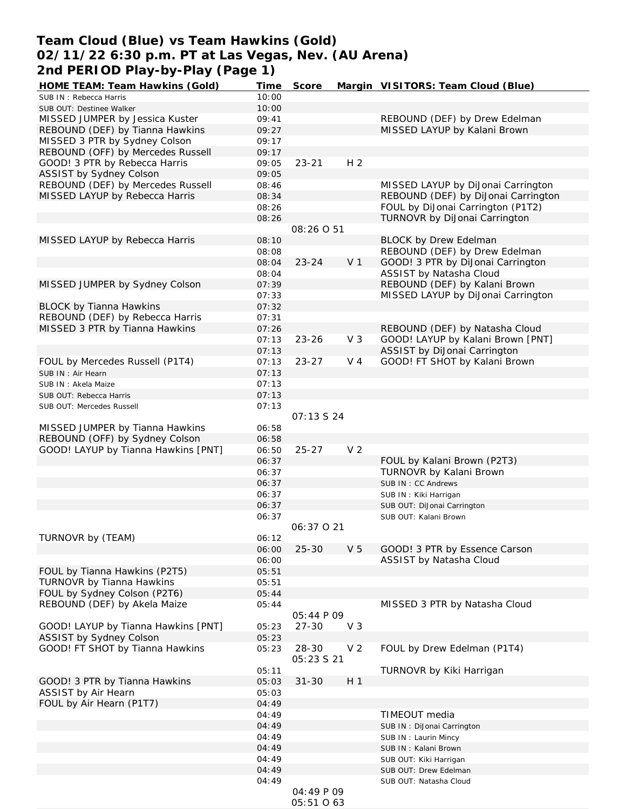## **Team Cloud (Blue) vs Team Hawkins (Gold) 02/11/22 6:30 p.m. PT at Las Vegas, Nev. (AU Arena) 2nd PERIOD Play-by-Play (Page 1)**

| HOME TEAM: Team Hawkins (Gold)                                    | Time           | Score               |                | Margin VISITORS: Team Cloud (Blue)                                  |
|-------------------------------------------------------------------|----------------|---------------------|----------------|---------------------------------------------------------------------|
| SUB IN: Rebecca Harris                                            | 10:00          |                     |                |                                                                     |
| SUB OUT: Destinee Walker                                          | 10:00          |                     |                |                                                                     |
| MISSED JUMPER by Jessica Kuster                                   | 09:41          |                     |                | REBOUND (DEF) by Drew Edelman                                       |
| REBOUND (DEF) by Tianna Hawkins                                   | 09:27          |                     |                | MISSED LAYUP by Kalani Brown                                        |
| MISSED 3 PTR by Sydney Colson                                     | 09:17          |                     |                |                                                                     |
| REBOUND (OFF) by Mercedes Russell                                 | 09:17          |                     |                |                                                                     |
| GOOD! 3 PTR by Rebecca Harris                                     | 09:05          | $23 - 21$           | H <sub>2</sub> |                                                                     |
| ASSIST by Sydney Colson                                           | 09:05          |                     |                |                                                                     |
| REBOUND (DEF) by Mercedes Russell                                 | 08:46          |                     |                | MISSED LAYUP by DiJonai Carrington                                  |
| MISSED LAYUP by Rebecca Harris                                    | 08:34          |                     |                | REBOUND (DEF) by DiJonai Carrington                                 |
|                                                                   | 08:26          |                     |                | FOUL by DiJonai Carrington (P1T2)                                   |
|                                                                   | 08:26          |                     |                | TURNOVR by DiJonai Carrington                                       |
|                                                                   |                | 08:26 0 51          |                |                                                                     |
| MISSED LAYUP by Rebecca Harris                                    | 08:10          |                     |                | <b>BLOCK by Drew Edelman</b>                                        |
|                                                                   | 08:08          |                     |                | REBOUND (DEF) by Drew Edelman                                       |
|                                                                   | 08:04          | $23 - 24$           | V <sub>1</sub> | GOOD! 3 PTR by DiJonai Carrington                                   |
|                                                                   | 08:04          |                     |                | ASSIST by Natasha Cloud                                             |
| MISSED JUMPER by Sydney Colson                                    | 07:39          |                     |                | REBOUND (DEF) by Kalani Brown                                       |
|                                                                   | 07:33          |                     |                | MISSED LAYUP by DiJonai Carrington                                  |
| <b>BLOCK by Tianna Hawkins</b>                                    | 07:32          |                     |                |                                                                     |
| REBOUND (DEF) by Rebecca Harris<br>MISSED 3 PTR by Tianna Hawkins | 07:31<br>07:26 |                     |                |                                                                     |
|                                                                   | 07:13          | $23 - 26$           | V <sub>3</sub> | REBOUND (DEF) by Natasha Cloud<br>GOOD! LAYUP by Kalani Brown [PNT] |
|                                                                   | 07:13          |                     |                | ASSIST by DiJonai Carrington                                        |
| FOUL by Mercedes Russell (P1T4)                                   | 07:13          | $23 - 27$           | V 4            | GOOD! FT SHOT by Kalani Brown                                       |
|                                                                   | 07:13          |                     |                |                                                                     |
| SUB IN: Air Hearn<br>SUB IN: Akela Maize                          | 07:13          |                     |                |                                                                     |
| SUB OUT: Rebecca Harris                                           | 07:13          |                     |                |                                                                     |
| SUB OUT: Mercedes Russell                                         | 07:13          |                     |                |                                                                     |
|                                                                   |                | O7:13 S 24          |                |                                                                     |
| MISSED JUMPER by Tianna Hawkins                                   | 06:58          |                     |                |                                                                     |
| REBOUND (OFF) by Sydney Colson                                    | 06:58          |                     |                |                                                                     |
| GOOD! LAYUP by Tianna Hawkins [PNT]                               | 06:50          | $25 - 27$           | V <sub>2</sub> |                                                                     |
|                                                                   | 06:37          |                     |                | FOUL by Kalani Brown (P2T3)                                         |
|                                                                   | 06:37          |                     |                | TURNOVR by Kalani Brown                                             |
|                                                                   | 06:37          |                     |                | SUB IN: CC Andrews                                                  |
|                                                                   | 06:37          |                     |                | SUB IN: Kiki Harrigan                                               |
|                                                                   | 06:37          |                     |                | SUB OUT: DiJonai Carrington                                         |
|                                                                   | 06:37          |                     |                | SUB OUT: Kalani Brown                                               |
|                                                                   |                | 06:37 0 21          |                |                                                                     |
| TURNOVR by (TEAM)                                                 | 06:12          |                     |                |                                                                     |
|                                                                   | 06:00          | $25 - 30$           | V <sub>5</sub> | GOOD! 3 PTR by Essence Carson                                       |
|                                                                   | 06:00          |                     |                | ASSIST by Natasha Cloud                                             |
| FOUL by Tianna Hawkins (P2T5)                                     | 05:51          |                     |                |                                                                     |
| TURNOVR by Tianna Hawkins                                         | 05:51          |                     |                |                                                                     |
| FOUL by Sydney Colson (P2T6)                                      | 05:44          |                     |                |                                                                     |
| REBOUND (DEF) by Akela Maize                                      | 05:44          |                     |                | MISSED 3 PTR by Natasha Cloud                                       |
|                                                                   |                | 05:44 P 09          |                |                                                                     |
| GOOD! LAYUP by Tianna Hawkins [PNT]                               | 05:23          | $27 - 30$           | V <sub>3</sub> |                                                                     |
| ASSIST by Sydney Colson                                           | 05:23          |                     |                |                                                                     |
| GOOD! FT SHOT by Tianna Hawkins                                   | 05:23          | 28-30<br>05:23 S 21 | V <sub>2</sub> | FOUL by Drew Edelman (P1T4)                                         |
|                                                                   | 05:11          |                     |                | TURNOVR by Kiki Harrigan                                            |
| GOOD! 3 PTR by Tianna Hawkins                                     | 05:03          | $31 - 30$           | H <sub>1</sub> |                                                                     |
| ASSIST by Air Hearn                                               | 05:03          |                     |                |                                                                     |
| FOUL by Air Hearn (P1T7)                                          | 04:49          |                     |                |                                                                     |
|                                                                   | 04:49          |                     |                | TIMEOUT media                                                       |
|                                                                   | 04:49          |                     |                | SUB IN: DiJonai Carrington                                          |
|                                                                   | 04:49          |                     |                | SUB IN: Laurin Mincy                                                |
|                                                                   | 04:49          |                     |                | SUB IN: Kalani Brown                                                |
|                                                                   | 04:49          |                     |                | SUB OUT: Kiki Harrigan                                              |
|                                                                   | 04:49          |                     |                | SUB OUT: Drew Edelman                                               |
|                                                                   | 04:49          |                     |                | SUB OUT: Natasha Cloud                                              |
|                                                                   |                | 04:49 P 09          |                |                                                                     |
|                                                                   |                | 05:51 0 63          |                |                                                                     |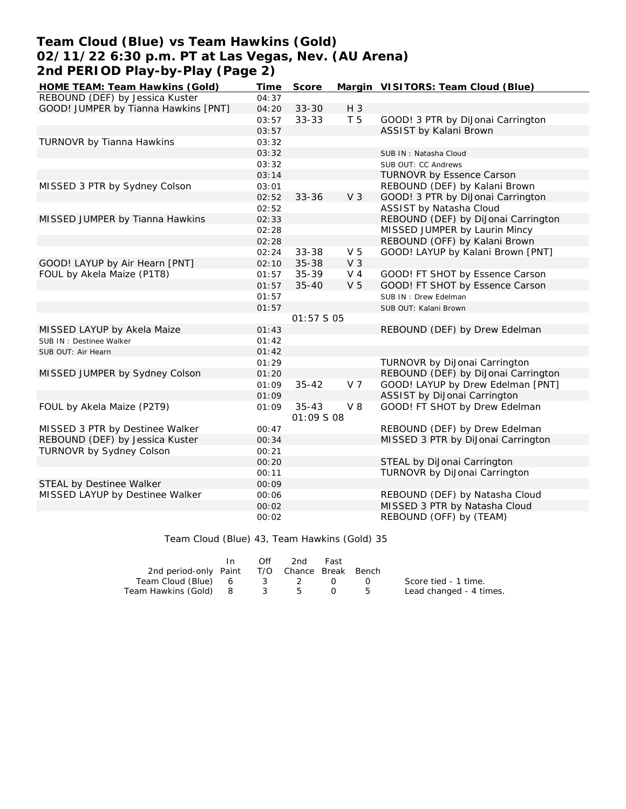## **Team Cloud (Blue) vs Team Hawkins (Gold) 02/11/22 6:30 p.m. PT at Las Vegas, Nev. (AU Arena) 2nd PERIOD Play-by-Play (Page 2)**

| HOME TEAM: Team Hawkins (Gold)       | Time  | Score      |                | Margin VISITORS: Team Cloud (Blue)  |
|--------------------------------------|-------|------------|----------------|-------------------------------------|
| REBOUND (DEF) by Jessica Kuster      | 04:37 |            |                |                                     |
| GOOD! JUMPER by Tianna Hawkins [PNT] | 04:20 | $33 - 30$  | H 3            |                                     |
|                                      | 03:57 | 33-33      | T 5            | GOOD! 3 PTR by DiJonai Carrington   |
|                                      | 03:57 |            |                | ASSIST by Kalani Brown              |
| TURNOVR by Tianna Hawkins            | 03:32 |            |                |                                     |
|                                      | 03:32 |            |                | SUB IN: Natasha Cloud               |
|                                      | 03:32 |            |                | SUB OUT: CC Andrews                 |
|                                      | 03:14 |            |                | TURNOVR by Essence Carson           |
| MISSED 3 PTR by Sydney Colson        | 03:01 |            |                | REBOUND (DEF) by Kalani Brown       |
|                                      | 02:52 | $33 - 36$  | V <sub>3</sub> | GOOD! 3 PTR by DiJonai Carrington   |
|                                      | 02:52 |            |                | ASSIST by Natasha Cloud             |
| MISSED JUMPER by Tianna Hawkins      | 02:33 |            |                | REBOUND (DEF) by DiJonai Carrington |
|                                      | 02:28 |            |                | MISSED JUMPER by Laurin Mincy       |
|                                      | 02:28 |            |                | REBOUND (OFF) by Kalani Brown       |
|                                      | 02:24 | 33-38      | V <sub>5</sub> | GOOD! LAYUP by Kalani Brown [PNT]   |
| GOOD! LAYUP by Air Hearn [PNT]       | 02:10 | $35 - 38$  | V <sub>3</sub> |                                     |
| FOUL by Akela Maize (P1T8)           | 01:57 | $35 - 39$  | V <sub>4</sub> | GOOD! FT SHOT by Essence Carson     |
|                                      | 01:57 | $35 - 40$  | V <sub>5</sub> | GOOD! FT SHOT by Essence Carson     |
|                                      | 01:57 |            |                | SUB IN: Drew Edelman                |
|                                      | 01:57 |            |                | SUB OUT: Kalani Brown               |
|                                      |       | 01:57 S 05 |                |                                     |
| MISSED LAYUP by Akela Maize          | 01:43 |            |                | REBOUND (DEF) by Drew Edelman       |
| SUB IN: Destinee Walker              | 01:42 |            |                |                                     |
| SUB OUT: Air Hearn                   | 01:42 |            |                |                                     |
|                                      | 01:29 |            |                | TURNOVR by DiJonai Carrington       |
| MISSED JUMPER by Sydney Colson       | 01:20 |            |                | REBOUND (DEF) by DiJonai Carrington |
|                                      | 01:09 | $35 - 42$  | V <sub>7</sub> | GOOD! LAYUP by Drew Edelman [PNT]   |
|                                      | 01:09 |            |                | ASSIST by DiJonai Carrington        |
| FOUL by Akela Maize (P2T9)           | 01:09 | $35 - 43$  | $V_8$          | GOOD! FT SHOT by Drew Edelman       |
|                                      |       | 01:09 S 08 |                |                                     |
| MISSED 3 PTR by Destinee Walker      | 00:47 |            |                | REBOUND (DEF) by Drew Edelman       |
| REBOUND (DEF) by Jessica Kuster      | 00:34 |            |                | MISSED 3 PTR by DiJonai Carrington  |
| TURNOVR by Sydney Colson             | 00:21 |            |                |                                     |
|                                      | 00:20 |            |                | STEAL by DiJonai Carrington         |
|                                      | 00:11 |            |                | TURNOVR by DiJonai Carrington       |
| STEAL by Destinee Walker             | 00:09 |            |                |                                     |
| MISSED LAYUP by Destinee Walker      | 00:06 |            |                | REBOUND (DEF) by Natasha Cloud      |
|                                      | 00:02 |            |                | MISSED 3 PTR by Natasha Cloud       |
|                                      | 00:02 |            |                | REBOUND (OFF) by (TEAM)             |

Team Cloud (Blue) 43, Team Hawkins (Gold) 35

|                                              | In. | Off | 2nd | Fast |      |                         |
|----------------------------------------------|-----|-----|-----|------|------|-------------------------|
| 2nd period-only Paint T/O Chance Break Bench |     |     |     |      |      |                         |
| Team Cloud (Blue)   6    3    2    0    0    |     |     |     |      |      | Score tied - 1 time.    |
| Team Hawkins (Gold) 8 3 5 0                  |     |     |     |      | . ხ. | Lead changed - 4 times. |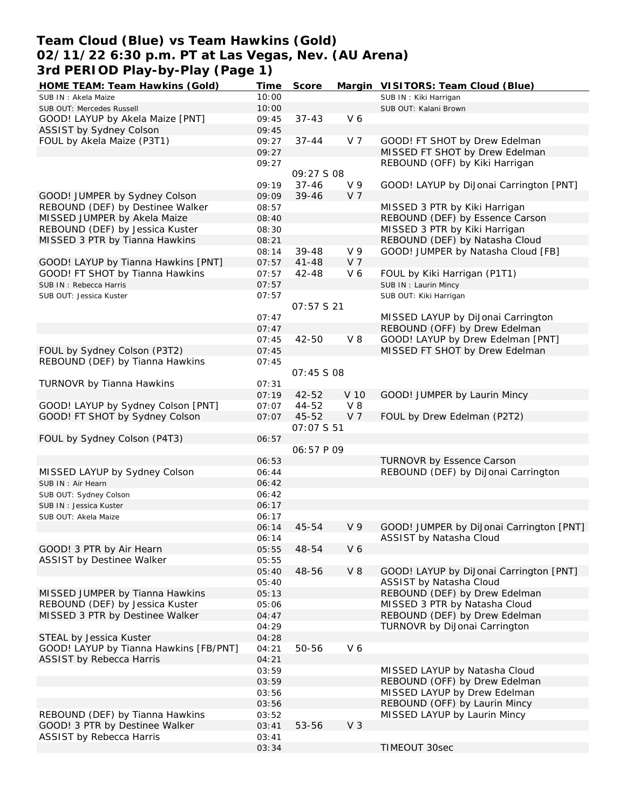## **Team Cloud (Blue) vs Team Hawkins (Gold) 02/11/22 6:30 p.m. PT at Las Vegas, Nev. (AU Arena) 3rd PERIOD Play-by-Play (Page 1)**

| HOME TEAM: Team Hawkins (Gold)         | Time  | Score             |                | Margin VISITORS: Team Cloud (Blue)       |
|----------------------------------------|-------|-------------------|----------------|------------------------------------------|
| SUB IN: Akela Maize                    | 10:00 |                   |                | SUB IN: Kiki Harrigan                    |
| SUB OUT: Mercedes Russell              | 10:00 |                   |                | SUB OUT: Kalani Brown                    |
| GOOD! LAYUP by Akela Maize [PNT]       | 09:45 | $37 - 43$         | V6             |                                          |
| ASSIST by Sydney Colson                | 09:45 |                   |                |                                          |
| FOUL by Akela Maize (P3T1)             | 09:27 | $37 - 44$         | V 7            | GOOD! FT SHOT by Drew Edelman            |
|                                        | 09:27 |                   |                | MISSED FT SHOT by Drew Edelman           |
|                                        | 09:27 |                   |                | REBOUND (OFF) by Kiki Harrigan           |
|                                        |       | 09:27 S 08        |                |                                          |
|                                        | 09:19 | $37 - 46$         | V <sub>9</sub> | GOOD! LAYUP by DiJonai Carrington [PNT]  |
| GOOD! JUMPER by Sydney Colson          | 09:09 | $39 - 46$         | V <sub>7</sub> |                                          |
| REBOUND (DEF) by Destinee Walker       | 08:57 |                   |                | MISSED 3 PTR by Kiki Harrigan            |
| MISSED JUMPER by Akela Maize           | 08:40 |                   |                | REBOUND (DEF) by Essence Carson          |
| REBOUND (DEF) by Jessica Kuster        | 08:30 |                   |                | MISSED 3 PTR by Kiki Harrigan            |
| MISSED 3 PTR by Tianna Hawkins         | 08:21 |                   |                | REBOUND (DEF) by Natasha Cloud           |
|                                        | 08:14 | $39 - 48$         | V <sub>9</sub> | GOOD! JUMPER by Natasha Cloud [FB]       |
| GOOD! LAYUP by Tianna Hawkins [PNT]    | 07:57 | $41 - 48$         | V 7            |                                          |
| GOOD! FT SHOT by Tianna Hawkins        | 07:57 | 42-48             | V6             | FOUL by Kiki Harrigan (P1T1)             |
| SUB IN: Rebecca Harris                 | 07:57 |                   |                | SUB IN: Laurin Mincy                     |
| SUB OUT: Jessica Kuster                | 07:57 |                   |                | SUB OUT: Kiki Harrigan                   |
|                                        |       | 07:57 S 21        |                |                                          |
|                                        | 07:47 |                   |                | MISSED LAYUP by DiJonai Carrington       |
|                                        | 07:47 |                   |                | REBOUND (OFF) by Drew Edelman            |
|                                        | 07:45 | 42-50             | $V_8$          | GOOD! LAYUP by Drew Edelman [PNT]        |
| FOUL by Sydney Colson (P3T2)           |       |                   |                | MISSED FT SHOT by Drew Edelman           |
| REBOUND (DEF) by Tianna Hawkins        | 07:45 |                   |                |                                          |
|                                        | 07:45 |                   |                |                                          |
|                                        |       | 07:45 \$ 08       |                |                                          |
| TURNOVR by Tianna Hawkins              | 07:31 |                   |                |                                          |
|                                        | 07:19 | $42 - 52$         | V 10           | GOOD! JUMPER by Laurin Mincy             |
| GOOD! LAYUP by Sydney Colson [PNT]     | 07:07 | 44-52             | $V_8$          |                                          |
| GOOD! FT SHOT by Sydney Colson         | 07:07 | 45-52             | V <sub>7</sub> | FOUL by Drew Edelman (P2T2)              |
|                                        |       | 07:07 \$ 51       |                |                                          |
| FOUL by Sydney Colson (P4T3)           | 06:57 |                   |                |                                          |
|                                        |       | <i>06:57 P 09</i> |                |                                          |
|                                        | 06:53 |                   |                | TURNOVR by Essence Carson                |
| MISSED LAYUP by Sydney Colson          | 06:44 |                   |                | REBOUND (DEF) by DiJonai Carrington      |
| SUB IN: Air Hearn                      | 06:42 |                   |                |                                          |
| SUB OUT: Sydney Colson                 | 06:42 |                   |                |                                          |
| SUB IN: Jessica Kuster                 | 06:17 |                   |                |                                          |
| SUB OUT: Akela Maize                   | 06:17 |                   |                |                                          |
|                                        | 06:14 | 45-54             | V <sub>9</sub> | GOOD! JUMPER by DiJonai Carrington [PNT] |
|                                        | 06:14 |                   |                | ASSIST by Natasha Cloud                  |
| GOOD! 3 PTR by Air Hearn               | 05:55 | 48-54             | V6             |                                          |
| ASSIST by Destinee Walker              | 05:55 |                   |                |                                          |
|                                        | 05:40 | 48-56             | $V_8$          | GOOD! LAYUP by DiJonai Carrington [PNT]  |
|                                        | 05:40 |                   |                | ASSIST by Natasha Cloud                  |
| MISSED JUMPER by Tianna Hawkins        | 05:13 |                   |                | REBOUND (DEF) by Drew Edelman            |
| REBOUND (DEF) by Jessica Kuster        | 05:06 |                   |                | MISSED 3 PTR by Natasha Cloud            |
| MISSED 3 PTR by Destinee Walker        | 04:47 |                   |                | REBOUND (DEF) by Drew Edelman            |
|                                        | 04:29 |                   |                | TURNOVR by DiJonai Carrington            |
| STEAL by Jessica Kuster                | 04:28 |                   |                |                                          |
| GOOD! LAYUP by Tianna Hawkins [FB/PNT] | 04:21 | 50-56             | V6             |                                          |
| ASSIST by Rebecca Harris               | 04:21 |                   |                |                                          |
|                                        | 03:59 |                   |                | MISSED LAYUP by Natasha Cloud            |
|                                        | 03:59 |                   |                | REBOUND (OFF) by Drew Edelman            |
|                                        | 03:56 |                   |                | MISSED LAYUP by Drew Edelman             |
|                                        | 03:56 |                   |                | REBOUND (OFF) by Laurin Mincy            |
| REBOUND (DEF) by Tianna Hawkins        | 03:52 |                   |                | MISSED LAYUP by Laurin Mincy             |
| GOOD! 3 PTR by Destinee Walker         | 03:41 | 53-56             | V <sub>3</sub> |                                          |
| <b>ASSIST by Rebecca Harris</b>        | 03:41 |                   |                |                                          |
|                                        | 03:34 |                   |                | TIMEOUT 30sec                            |
|                                        |       |                   |                |                                          |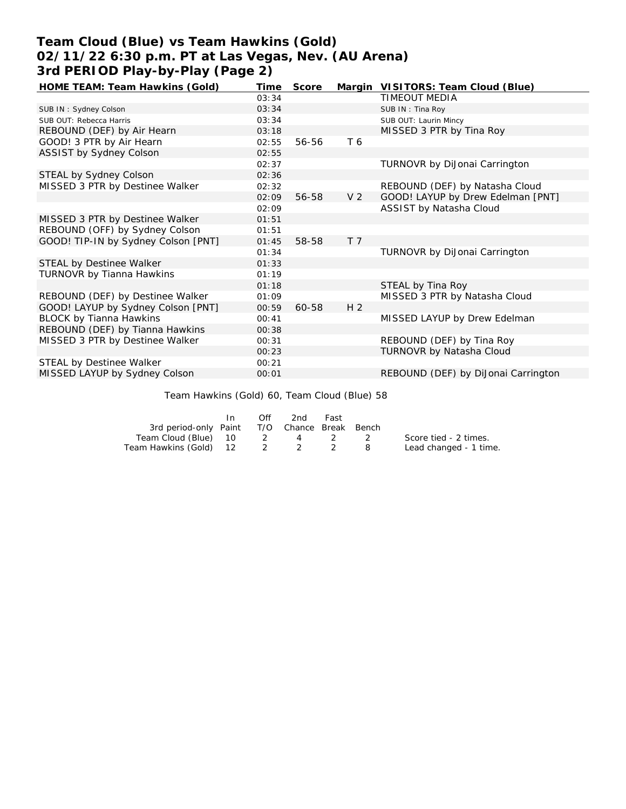# **Team Cloud (Blue) vs Team Hawkins (Gold) 02/11/22 6:30 p.m. PT at Las Vegas, Nev. (AU Arena) 3rd PERIOD Play-by-Play (Page 2)**

| HOME TEAM: Team Hawkins (Gold)      | Time  | Score |                | Margin VISITORS: Team Cloud (Blue)   |
|-------------------------------------|-------|-------|----------------|--------------------------------------|
|                                     | 03:34 |       |                | TIMEOUT MEDIA                        |
| SUB IN: Sydney Colson               | 03:34 |       |                | SUB IN: Tina Roy                     |
| SUB OUT: Rebecca Harris             | 03:34 |       |                | SUB OUT: Laurin Mincy                |
| REBOUND (DEF) by Air Hearn          | 03:18 |       |                | MISSED 3 PTR by Tina Roy             |
| GOOD! 3 PTR by Air Hearn            | 02:55 | 56-56 | T 6            |                                      |
| ASSIST by Sydney Colson             | 02:55 |       |                |                                      |
|                                     | 02:37 |       |                | <b>TURNOVR by DiJonai Carrington</b> |
| STEAL by Sydney Colson              | 02:36 |       |                |                                      |
| MISSED 3 PTR by Destinee Walker     | 02:32 |       |                | REBOUND (DEF) by Natasha Cloud       |
|                                     | 02:09 | 56-58 | V <sub>2</sub> | GOOD! LAYUP by Drew Edelman [PNT]    |
|                                     | 02:09 |       |                | ASSIST by Natasha Cloud              |
| MISSED 3 PTR by Destinee Walker     | 01:51 |       |                |                                      |
| REBOUND (OFF) by Sydney Colson      | 01:51 |       |                |                                      |
| GOOD! TIP-IN by Sydney Colson [PNT] | 01:45 | 58-58 | T <sub>7</sub> |                                      |
|                                     | 01:34 |       |                | TURNOVR by DiJonai Carrington        |
| STEAL by Destinee Walker            | 01:33 |       |                |                                      |
| TURNOVR by Tianna Hawkins           | 01:19 |       |                |                                      |
|                                     | 01:18 |       |                | STEAL by Tina Roy                    |
| REBOUND (DEF) by Destinee Walker    | 01:09 |       |                | MISSED 3 PTR by Natasha Cloud        |
| GOOD! LAYUP by Sydney Colson [PNT]  | 00:59 | 60-58 | H <sub>2</sub> |                                      |
| <b>BLOCK by Tianna Hawkins</b>      | 00:41 |       |                | MISSED LAYUP by Drew Edelman         |
| REBOUND (DEF) by Tianna Hawkins     | 00:38 |       |                |                                      |
| MISSED 3 PTR by Destinee Walker     | 00:31 |       |                | REBOUND (DEF) by Tina Roy            |
|                                     | 00:23 |       |                | TURNOVR by Natasha Cloud             |
| STEAL by Destinee Walker            | 00:21 |       |                |                                      |
| MISSED LAYUP by Sydney Colson       | 00:01 |       |                | REBOUND (DEF) by DiJonai Carrington  |

Team Hawkins (Gold) 60, Team Cloud (Blue) 58

|                                              | In In | Off | 2nd | Fast |                        |
|----------------------------------------------|-------|-----|-----|------|------------------------|
| 3rd period-only Paint T/O Chance Break Bench |       |     |     |      |                        |
| Team Cloud (Blue)  10    2    4    2    2    |       |     |     |      | Score tied - 2 times.  |
| Team Hawkins (Gold) 12 2 2 2                 |       |     |     |      | Lead changed - 1 time. |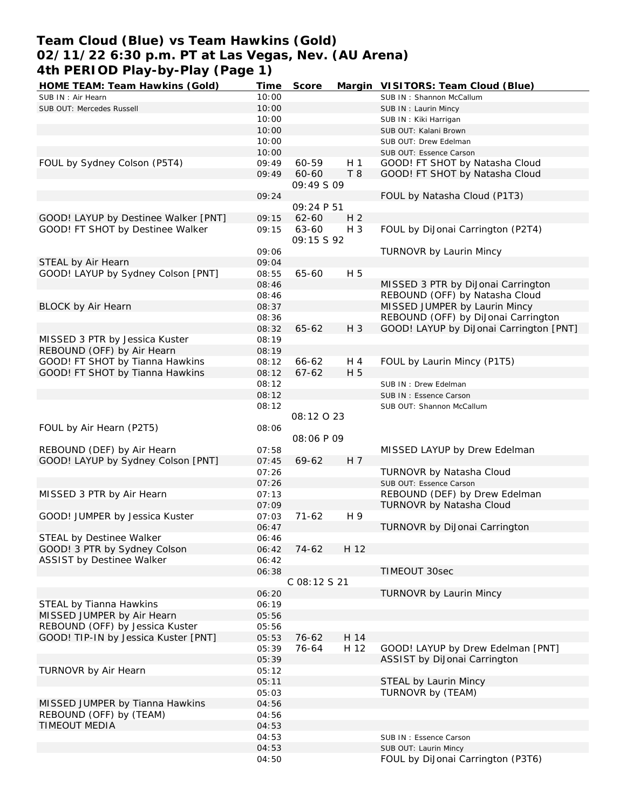## **Team Cloud (Blue) vs Team Hawkins (Gold) 02/11/22 6:30 p.m. PT at Las Vegas, Nev. (AU Arena) 4th PERIOD Play-by-Play (Page 1)**

| HOME TEAM: Team Hawkins (Gold)       | Time           | Score        |                | Margin VISITORS: Team Cloud (Blue)                         |
|--------------------------------------|----------------|--------------|----------------|------------------------------------------------------------|
| SUB IN: Air Hearn                    | 10:00          |              |                | SUB IN: Shannon McCallum                                   |
| SUB OUT: Mercedes Russell            | 10:00          |              |                | SUB IN: Laurin Mincy                                       |
|                                      | 10:00          |              |                | SUB IN: Kiki Harrigan                                      |
|                                      | 10:00          |              |                | SUB OUT: Kalani Brown                                      |
|                                      | 10:00          |              |                | SUB OUT: Drew Edelman                                      |
|                                      | 10:00          |              |                | SUB OUT: Essence Carson                                    |
| FOUL by Sydney Colson (P5T4)         | 09:49          | 60-59        | H <sub>1</sub> | GOOD! FT SHOT by Natasha Cloud                             |
|                                      | 09:49          | 60-60        | T8             | GOOD! FT SHOT by Natasha Cloud                             |
|                                      |                | 09:49 S 09   |                |                                                            |
|                                      |                |              |                |                                                            |
|                                      | 09:24          |              |                | FOUL by Natasha Cloud (P1T3)                               |
|                                      |                | 09:24 P 51   |                |                                                            |
| GOOD! LAYUP by Destinee Walker [PNT] | 09:15          | $62 - 60$    | H <sub>2</sub> |                                                            |
| GOOD! FT SHOT by Destinee Walker     | 09:15          | 63-60        | H 3            | FOUL by DiJonai Carrington (P2T4)                          |
|                                      |                | 09:15 \$92   |                |                                                            |
|                                      | 09:06          |              |                | TURNOVR by Laurin Mincy                                    |
| STEAL by Air Hearn                   | 09:04          |              |                |                                                            |
| GOOD! LAYUP by Sydney Colson [PNT]   | 08:55          | 65-60        | H 5            |                                                            |
|                                      | 08:46          |              |                | MISSED 3 PTR by DiJonai Carrington                         |
|                                      | 08:46          |              |                | REBOUND (OFF) by Natasha Cloud                             |
| <b>BLOCK by Air Hearn</b>            | 08:37          |              |                | MISSED JUMPER by Laurin Mincy                              |
|                                      | 08:36          |              |                | REBOUND (OFF) by DiJonai Carrington                        |
|                                      |                | $65 - 62$    | H 3            |                                                            |
|                                      | 08:32          |              |                | GOOD! LAYUP by DiJonai Carrington [PNT]                    |
| MISSED 3 PTR by Jessica Kuster       | 08:19          |              |                |                                                            |
| REBOUND (OFF) by Air Hearn           | 08:19          |              |                |                                                            |
| GOOD! FT SHOT by Tianna Hawkins      | 08:12          | 66-62        | H 4            | FOUL by Laurin Mincy (P1T5)                                |
| GOOD! FT SHOT by Tianna Hawkins      | 08:12          | $67 - 62$    | H 5            |                                                            |
|                                      | 08:12          |              |                | SUB IN: Drew Edelman                                       |
|                                      | 08:12          |              |                | SUB IN: Essence Carson                                     |
|                                      | 08:12          |              |                | SUB OUT: Shannon McCallum                                  |
|                                      |                | 08:12023     |                |                                                            |
|                                      |                |              |                |                                                            |
|                                      |                |              |                |                                                            |
| FOUL by Air Hearn (P2T5)             | 08:06          |              |                |                                                            |
|                                      |                | 08:06 P 09   |                |                                                            |
| REBOUND (DEF) by Air Hearn           | 07:58          |              |                | MISSED LAYUP by Drew Edelman                               |
| GOOD! LAYUP by Sydney Colson [PNT]   | 07:45          | 69-62        | H 7            |                                                            |
|                                      | 07:26          |              |                | TURNOVR by Natasha Cloud                                   |
|                                      | 07:26          |              |                | SUB OUT: Essence Carson                                    |
| MISSED 3 PTR by Air Hearn            | 07:13          |              |                | REBOUND (DEF) by Drew Edelman                              |
|                                      | 07:09          |              |                | TURNOVR by Natasha Cloud                                   |
| GOOD! JUMPER by Jessica Kuster       | 07:03          | $71-62$      | H 9            |                                                            |
|                                      | 06:47          |              |                | TURNOVR by DiJonai Carrington                              |
| STEAL by Destinee Walker             | 06:46          |              |                |                                                            |
| GOOD! 3 PTR by Sydney Colson         | 06:42          | 74-62        | H 12           |                                                            |
|                                      | 06:42          |              |                |                                                            |
| ASSIST by Destinee Walker            |                |              |                |                                                            |
|                                      | 06:38          |              |                | TIMEOUT 30sec                                              |
|                                      |                | C 08:12 S 21 |                |                                                            |
|                                      | 06:20          |              |                | TURNOVR by Laurin Mincy                                    |
| STEAL by Tianna Hawkins              | 06:19          |              |                |                                                            |
| MISSED JUMPER by Air Hearn           | 05:56          |              |                |                                                            |
| REBOUND (OFF) by Jessica Kuster      | 05:56          |              |                |                                                            |
| GOOD! TIP-IN by Jessica Kuster [PNT] | 05:53          | $76 - 62$    | H 14           |                                                            |
|                                      | 05:39          | 76-64        | H 12           | GOOD! LAYUP by Drew Edelman [PNT]                          |
|                                      | 05:39          |              |                | ASSIST by DiJonai Carrington                               |
| TURNOVR by Air Hearn                 | 05:12          |              |                |                                                            |
|                                      | 05:11          |              |                | STEAL by Laurin Mincy                                      |
|                                      | 05:03          |              |                | TURNOVR by (TEAM)                                          |
| MISSED JUMPER by Tianna Hawkins      | 04:56          |              |                |                                                            |
|                                      |                |              |                |                                                            |
| REBOUND (OFF) by (TEAM)              | 04:56          |              |                |                                                            |
| TIMEOUT MEDIA                        | 04:53          |              |                |                                                            |
|                                      | 04:53          |              |                | SUB IN: Essence Carson                                     |
|                                      | 04:53<br>04:50 |              |                | SUB OUT: Laurin Mincy<br>FOUL by DiJonai Carrington (P3T6) |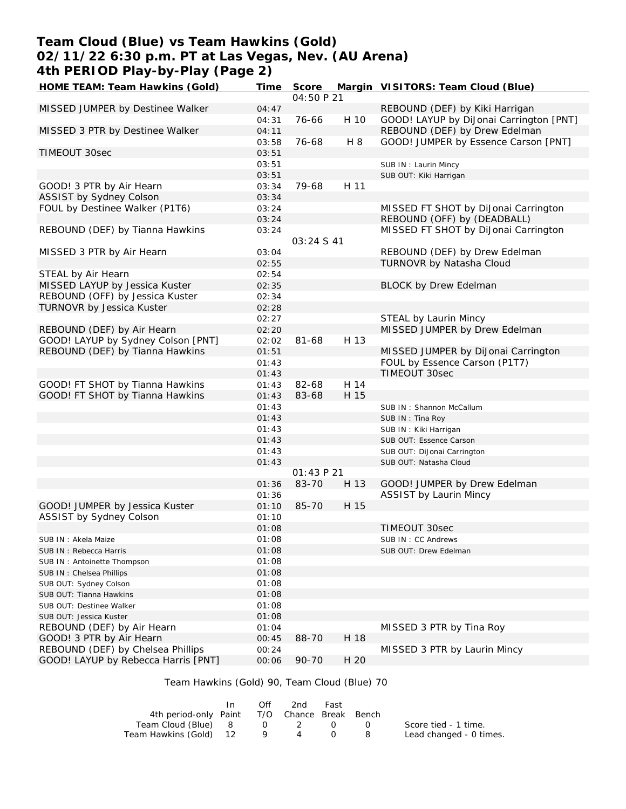### **Team Cloud (Blue) vs Team Hawkins (Gold) 02/11/22 6:30 p.m. PT at Las Vegas, Nev. (AU Arena) 4th PERIOD Play-by-Play (Page 2)**

| HOME TEAM: Team Hawkins (Gold)      | Time  | Score      |      | Margin VISITORS: Team Cloud (Blue)      |
|-------------------------------------|-------|------------|------|-----------------------------------------|
|                                     |       | 04:50 P 21 |      |                                         |
| MISSED JUMPER by Destinee Walker    | 04:47 |            |      | REBOUND (DEF) by Kiki Harrigan          |
|                                     | 04:31 | 76-66      | H 10 | GOOD! LAYUP by DiJonai Carrington [PNT] |
| MISSED 3 PTR by Destinee Walker     | 04:11 |            |      | REBOUND (DEF) by Drew Edelman           |
|                                     | 03:58 | 76-68      | H 8  | GOOD! JUMPER by Essence Carson [PNT]    |
| TIMEOUT 30sec                       | 03:51 |            |      |                                         |
|                                     | 03:51 |            |      | SUB IN: Laurin Mincy                    |
|                                     | 03:51 |            |      | SUB OUT: Kiki Harrigan                  |
| GOOD! 3 PTR by Air Hearn            | 03:34 | 79-68      | H 11 |                                         |
| ASSIST by Sydney Colson             | 03:34 |            |      |                                         |
| FOUL by Destinee Walker (P1T6)      | 03:24 |            |      | MISSED FT SHOT by DiJonai Carrington    |
|                                     | 03:24 |            |      | REBOUND (OFF) by (DEADBALL)             |
| REBOUND (DEF) by Tianna Hawkins     | 03:24 |            |      | MISSED FT SHOT by DiJonai Carrington    |
|                                     |       | 03:24 S 41 |      |                                         |
| MISSED 3 PTR by Air Hearn           | 03:04 |            |      | REBOUND (DEF) by Drew Edelman           |
|                                     | 02:55 |            |      | TURNOVR by Natasha Cloud                |
| STEAL by Air Hearn                  | 02:54 |            |      |                                         |
| MISSED LAYUP by Jessica Kuster      | 02:35 |            |      | <b>BLOCK by Drew Edelman</b>            |
| REBOUND (OFF) by Jessica Kuster     | 02:34 |            |      |                                         |
| TURNOVR by Jessica Kuster           | 02:28 |            |      |                                         |
|                                     | 02:27 |            |      | STEAL by Laurin Mincy                   |
| REBOUND (DEF) by Air Hearn          | 02:20 |            |      | MISSED JUMPER by Drew Edelman           |
| GOOD! LAYUP by Sydney Colson [PNT]  |       | $81 - 68$  | H 13 |                                         |
| REBOUND (DEF) by Tianna Hawkins     | 02:02 |            |      | MISSED JUMPER by DiJonai Carrington     |
|                                     | 01:51 |            |      | FOUL by Essence Carson (P1T7)           |
|                                     | 01:43 |            |      |                                         |
|                                     | 01:43 |            |      | TIMEOUT 30sec                           |
| GOOD! FT SHOT by Tianna Hawkins     | 01:43 | 82-68      | H 14 |                                         |
| GOOD! FT SHOT by Tianna Hawkins     | 01:43 | 83-68      | H 15 |                                         |
|                                     | 01:43 |            |      | SUB IN: Shannon McCallum                |
|                                     | 01:43 |            |      | SUB IN: Tina Roy                        |
|                                     | 01:43 |            |      | SUB IN: Kiki Harrigan                   |
|                                     | 01:43 |            |      | SUB OUT: Essence Carson                 |
|                                     | 01:43 |            |      | SUB OUT: DiJonai Carrington             |
|                                     | 01:43 |            |      | SUB OUT: Natasha Cloud                  |
|                                     |       | 01:43 P 21 |      |                                         |
|                                     | 01:36 | 83-70      | H 13 | GOOD! JUMPER by Drew Edelman            |
|                                     | 01:36 |            |      | <b>ASSIST by Laurin Mincy</b>           |
| GOOD! JUMPER by Jessica Kuster      | 01:10 | 85-70      | H 15 |                                         |
| ASSIST by Sydney Colson             | 01:10 |            |      |                                         |
|                                     | 01:08 |            |      | TIMEOUT 30sec                           |
| SUB IN: Akela Maize                 | 01:08 |            |      | SUB IN: CC Andrews                      |
| SUB IN: Rebecca Harris              | 01:08 |            |      | SUB OUT: Drew Edelman                   |
| SUB IN: Antoinette Thompson         | 01:08 |            |      |                                         |
| SUB IN: Chelsea Phillips            | 01:08 |            |      |                                         |
| SUB OUT: Sydney Colson              | 01:08 |            |      |                                         |
| SUB OUT: Tianna Hawkins             | 01:08 |            |      |                                         |
| SUB OUT: Destinee Walker            | 01:08 |            |      |                                         |
| SUB OUT: Jessica Kuster             | 01:08 |            |      |                                         |
| REBOUND (DEF) by Air Hearn          | 01:04 |            |      | MISSED 3 PTR by Tina Roy                |
| GOOD! 3 PTR by Air Hearn            | 00:45 | 88-70      | H 18 |                                         |
| REBOUND (DEF) by Chelsea Phillips   | 00:24 |            |      | MISSED 3 PTR by Laurin Mincy            |
| GOOD! LAYUP by Rebecca Harris [PNT] | 00:06 | 90-70      | H 20 |                                         |

### Team Hawkins (Gold) 90, Team Cloud (Blue) 70

|                                              | $\mathsf{In}$ | Off | 2nd | Fast |                         |
|----------------------------------------------|---------------|-----|-----|------|-------------------------|
| 4th period-only Paint T/O Chance Break Bench |               |     |     |      |                         |
| Team Cloud (Blue) 8 0 2 0                    |               |     |     |      | Score tied - 1 time.    |
| Team Hawkins (Gold) 12 9                     |               |     | 4   |      | Lead changed - 0 times. |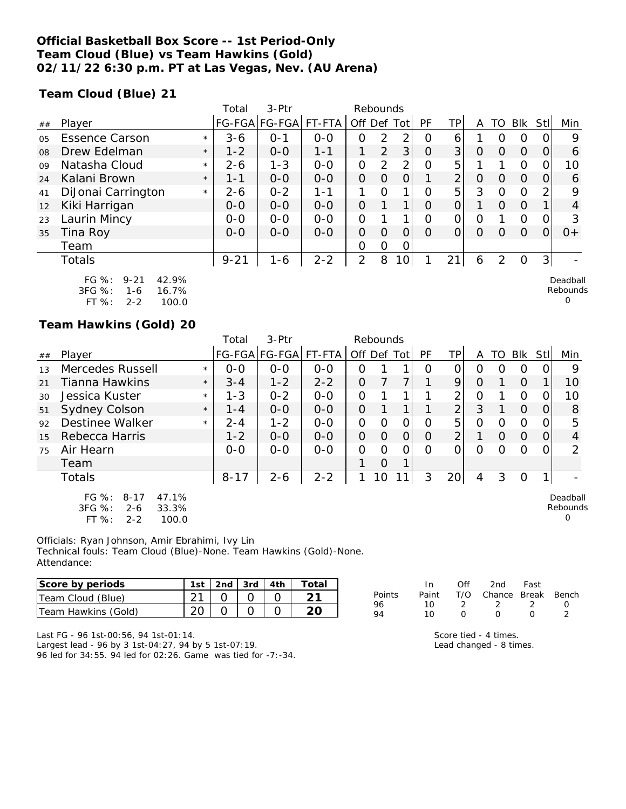### **Official Basketball Box Score -- 1st Period-Only Team Cloud (Blue) vs Team Hawkins (Gold) 02/11/22 6:30 p.m. PT at Las Vegas, Nev. (AU Arena)**

**Team Cloud (Blue) 21**

|                |                                                                                           |         | Total    | $3-Ptr$               |         |             | Rebounds |                 |          |                |          |          |          |                |                      |
|----------------|-------------------------------------------------------------------------------------------|---------|----------|-----------------------|---------|-------------|----------|-----------------|----------|----------------|----------|----------|----------|----------------|----------------------|
| ##             | Player                                                                                    |         |          | FG-FGA FG-FGA  FT-FTA |         | Off Def Tot |          |                 | PF       | ΤP             | A        | TO       | Blk      | Stl            | Min                  |
| 0 <sub>5</sub> | <b>Essence Carson</b>                                                                     | $\star$ | $3-6$    | $O - 1$               | $0 - 0$ | O           | 2        | 2               | $\Omega$ | 6              |          | $\Omega$ | O        |                | 9                    |
| 08             | Drew Edelman                                                                              | $\star$ | $1 - 2$  | $0 - 0$               | 1-1     |             | 2        | 3 <sup>1</sup>  | 0        | 3 <sup>1</sup> | O        | $\Omega$ | $\Omega$ | O              | 6                    |
| 09             | Natasha Cloud                                                                             | $\star$ | 2-6      | $1 - 3$               | $0 - 0$ | 0           | 2        | 2 <sub>1</sub>  | O        | 5              |          |          | $\Omega$ |                | 10                   |
| 24             | Kalani Brown                                                                              | $\star$ | $1 - 1$  | $0 - 0$               | $0 - 0$ | $\Omega$    | O        | 0               |          | $\overline{2}$ | $\Omega$ | $\Omega$ | $\Omega$ | 0              | 6                    |
| 41             | DiJonai Carrington                                                                        | $\star$ | 2-6      | $0 - 2$               | 1-1     |             | Ω        | $\mathbf 1$     | O        | 5              | 3        | $\Omega$ | $\Omega$ |                | 9                    |
| 12             | Kiki Harrigan                                                                             |         | $0 - 0$  | $0 - 0$               | $0 - 0$ | $\Omega$    | 1.       | 1 <sub>1</sub>  | O        | O              |          | $\Omega$ | $\Omega$ |                | 4                    |
| 23             | Laurin Mincy                                                                              |         | $0-0$    | $O-O$                 | $O-O$   | 0           |          | 1               | O        | 0              | 0        |          | $\Omega$ |                | 3                    |
| 35             | Tina Roy                                                                                  |         | $0 - 0$  | $0-0$                 | $0 - 0$ | $\Omega$    | $\Omega$ | $\Omega$        | $\Omega$ | 0              | $\Omega$ | $\Omega$ | $\Omega$ | 0              | $0+$                 |
|                | Team                                                                                      |         |          |                       |         | 0           | Ο        | O               |          |                |          |          |          |                |                      |
|                | Totals                                                                                    |         | $9 - 21$ | $1 - 6$               | $2 - 2$ | 2           | 8        | 10 <sup>1</sup> |          | 21             | 6        | 2        | $\Omega$ | 3 <sup>1</sup> |                      |
|                | $FG \%$ :<br>42.9%<br>$9 - 21$<br>3FG %:<br>16.7%<br>1-6<br>$FT OZ$ .<br>っっ<br>100 $\cap$ |         |          |                       |         |             |          |                 |          |                |          |          |          |                | Deadball<br>Rebounds |

FT %: 2-2 100.0

#### **Team Hawkins (Gold) 20**

|     |                                                                                              |         | Total    | $3-Ptr$       |         |                | Rebounds |                |           |                |          |          |          |          |                           |
|-----|----------------------------------------------------------------------------------------------|---------|----------|---------------|---------|----------------|----------|----------------|-----------|----------------|----------|----------|----------|----------|---------------------------|
| ##  | Player                                                                                       |         |          | FG-FGA FG-FGA | FT-FTA  | Off Def Tot    |          |                | <b>PF</b> | TP             | A        | TO.      | Blk      | -StII    | Min                       |
| 1.3 | Mercedes Russell                                                                             | $\star$ | $0 - 0$  | $0 - 0$       | $O-O$   | Ο              |          |                | Ω         | Ω              | Ο        | ( )      | O        |          | 9                         |
| 21  | Tianna Hawkins                                                                               | $\star$ | $3 - 4$  | $1 - 2$       | $2 - 2$ | O              | 7        |                |           | 9              | $\Omega$ |          | $\Omega$ |          | 10                        |
| 30  | Jessica Kuster                                                                               | $\star$ | $1 - 3$  | $0 - 2$       | $0 - 0$ | 0              |          |                |           | 2              | 0        |          | $\Omega$ | 0        | 10                        |
| 51  | Sydney Colson                                                                                | $\star$ | $1 - 4$  | $0 - 0$       | $O-O$   | O              |          |                |           | $\overline{2}$ | 3        |          | $\Omega$ | $\Omega$ | 8                         |
| 92  | Destinee Walker                                                                              | $\star$ | $2 - 4$  | $1 - 2$       | $0 - 0$ | O              | $\Omega$ | 0              | O         | 5              | O        | $\Omega$ | O        | 0        | 5                         |
| 15  | Rebecca Harris                                                                               |         | $1 - 2$  | $0 - 0$       | $0 - 0$ | $\overline{O}$ | $\Omega$ | $\overline{O}$ | O         | $\overline{2}$ |          | $\Omega$ | $\Omega$ | 0        | 4                         |
| 75  | Air Hearn                                                                                    |         | $0 - 0$  | $0 - 0$       | $O-O$   | $\Omega$       | $\Omega$ | $\Omega$       | $\Omega$  | 0              | $\Omega$ | Ω        | $\Omega$ | 0        | $\mathcal{P}$             |
|     | Team                                                                                         |         |          |               |         |                | 0        |                |           |                |          |          |          |          |                           |
|     | <b>Totals</b>                                                                                |         | $8 - 17$ | $2 - 6$       | $2 - 2$ |                | 10       |                | 3         | 20             | 4        | 3        | 0        |          |                           |
|     | FG $%$ :<br>47.1%<br>$8 - 17$<br>$3FG \%$ :<br>33.3%<br>$2 - 6$<br>FT %:<br>100.0<br>$2 - 2$ |         |          |               |         |                |          |                |           |                |          |          |          |          | Deadball<br>Rebounds<br>O |

Officials: Ryan Johnson, Amir Ebrahimi, Ivy Lin Technical fouls: Team Cloud (Blue)-None. Team Hawkins (Gold)-None. Attendance:

| Score by periods    | 1st | 2nd $3rd$ $4th$ | Total |
|---------------------|-----|-----------------|-------|
| Team Cloud (Blue)   |     |                 |       |
| Team Hawkins (Gold) |     |                 |       |

|        | In.   | ∩ff            | 2nd Fast               |     |                  |
|--------|-------|----------------|------------------------|-----|------------------|
| Points | Paint |                | T/O Chance Break Bench |     |                  |
| 96     | 1 O   | $\overline{2}$ | - 2 -                  | - 2 | $\left( \right)$ |
| QΔ     | 10    | O              | $\left( \right)$       | O   |                  |

Last FG - 96 1st-00:56, 94 1st-01:14.

Largest lead - 96 by 3 1st-04:27, 94 by 5 1st-07:19. 96 led for 34:55. 94 led for 02:26. Game was tied for -7:-34.

| Score tied - 4 times.   |
|-------------------------|
| Lead changed - 8 times. |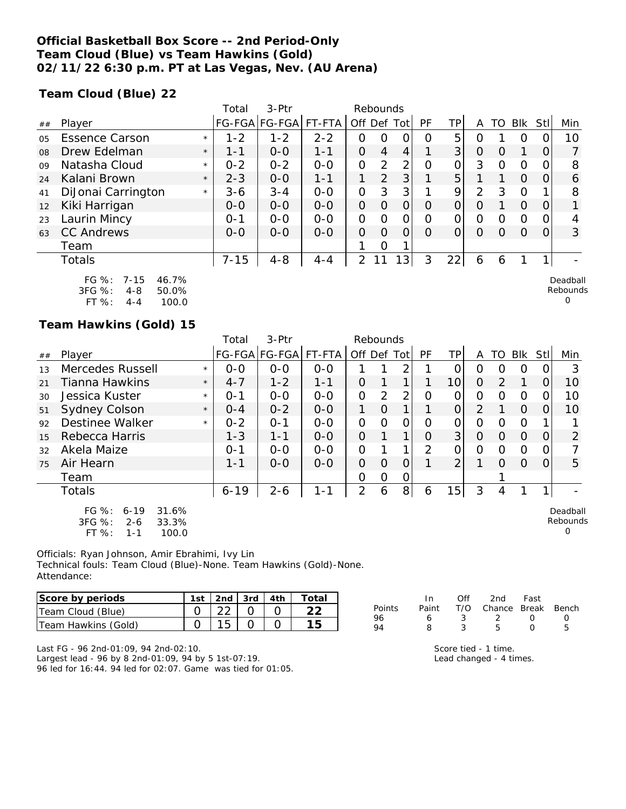### **Official Basketball Box Score -- 2nd Period-Only Team Cloud (Blue) vs Team Hawkins (Gold) 02/11/22 6:30 p.m. PT at Las Vegas, Nev. (AU Arena)**

**Team Cloud (Blue) 22**

|                |                                                             |         | Total    | $3-$ Ptr              |         |                | Rebounds |                 |          |    |   |          |          |          |                      |
|----------------|-------------------------------------------------------------|---------|----------|-----------------------|---------|----------------|----------|-----------------|----------|----|---|----------|----------|----------|----------------------|
| ##             | Player                                                      |         |          | FG-FGA FG-FGA  FT-FTA |         |                |          | Off Def Tot     | PF       | ΤP | A | TO       | Blk      | Stll     | Min                  |
| 0 <sub>5</sub> | <b>Essence Carson</b>                                       | $\star$ | $1 - 2$  | $1 - 2$               | $2 - 2$ | Ο              | Ο        |                 | $\Omega$ | 5  | Ο |          | O        |          | 10                   |
| 08             | Drew Edelman                                                | $\star$ | $1 - 1$  | $0 - 0$               | 1-1     | O              | 4        | 4               |          | 3  | O | O        |          |          |                      |
| 09             | Natasha Cloud                                               | $\star$ | $0 - 2$  | $0 - 2$               | $0 - 0$ | O              | 2        | 2               | 0        | 0  | 3 | 0        | $\circ$  |          | 8                    |
| 24             | Kalani Brown                                                | $\star$ | $2 - 3$  | $0-0$                 | $1 - 1$ |                | 2        | 3 <sup>1</sup>  |          | 5  |   |          | $\Omega$ | $\Omega$ | 6                    |
| 41             | DiJonai Carrington                                          | $\star$ | $3 - 6$  | $3 - 4$               | $0-0$   | 0              | 3        | 3               |          | 9  | 2 | 3        | $\circ$  |          | 8                    |
| 12             | Kiki Harrigan                                               |         | $O-O$    | $0 - 0$               | $0 - 0$ | O              | $\Omega$ | Ο               | O        | 0  | 0 |          | $\Omega$ |          |                      |
| 23             | Laurin Mincy                                                |         | $O - 1$  | $0 - 0$               | $0 - 0$ | O              | Ω        | Ω               | Ω        | 0  | 0 | 0        | $\Omega$ |          |                      |
| 63             | <b>CC Andrews</b>                                           |         | $0 - 0$  | $0 - 0$               | $0 - 0$ | O              | $\Omega$ | 0               | $\Omega$ | 0  | O | $\Omega$ | $\Omega$ |          | 3                    |
|                | Team                                                        |         |          |                       |         |                | 0        |                 |          |    |   |          |          |          |                      |
|                | Totals                                                      |         | $7 - 15$ | $4 - 8$               | $4 - 4$ | $\overline{2}$ |          | 13 <sub>1</sub> | 3        | 22 | 6 | 6        |          |          |                      |
|                | FG $%$ :<br>46.7%<br>$7 - 15$<br>3FG %:<br>50.0%<br>$4 - 8$ |         |          |                       |         |                |          |                 |          |    |   |          |          |          | Deadball<br>Rebounds |

| .          | $\sqrt{ }$ | <b>TU.IV</b> |
|------------|------------|--------------|
| $3FG \%$ : | 4-8        | 50.0%        |
| FT $\%$ :  | 4-4        | 100.0        |

### **Team Hawkins (Gold) 15**

|    |                                                                                          |         | Total    | 3-Ptr         |         | Rebounds       |               |   |               |                |                |                  |          |            |                           |
|----|------------------------------------------------------------------------------------------|---------|----------|---------------|---------|----------------|---------------|---|---------------|----------------|----------------|------------------|----------|------------|---------------------------|
| ## | Player                                                                                   |         |          | FG-FGA FG-FGA | FT-FTA  | Off Def Tot    |               |   | PF            | TPI            | A              | TO               | Blk      | <b>Stl</b> | Min                       |
| 13 | Mercedes Russell                                                                         | $\star$ | $0 - 0$  | $0 - 0$       | $0 - 0$ |                |               | 2 |               | 0              | 0              | $\left( \right)$ | O        | 0          | 3                         |
| 21 | Tianna Hawkins                                                                           | $\star$ | $4 - 7$  | $1 - 2$       | $1 - 1$ | $\Omega$       |               | 1 |               | 10             | $\Omega$       | $\mathcal{P}$    | 1        | 0          | 10                        |
| 30 | Jessica Kuster                                                                           | $\star$ | $O - 1$  | $0 - 0$       | $0 - 0$ | $\Omega$       | 2             | 2 | Ο             | 0              | 0              | O                | O        | 0          | 10                        |
| 51 | <b>Sydney Colson</b>                                                                     | $\star$ | $0 - 4$  | $0 - 2$       | $0 - 0$ | 1              | 0             |   |               | 0              | 2              |                  | $\Omega$ | $\Omega$   | 10                        |
| 92 | Destinee Walker                                                                          | $\star$ | $0 - 2$  | $O - 1$       | $0 - 0$ | $\overline{O}$ | $\Omega$      | O | Ω             | 0              | $\Omega$       | $\Omega$         | 0        |            |                           |
| 15 | Rebecca Harris                                                                           |         | $1 - 3$  | $1 - 1$       | $0 - 0$ | $\overline{O}$ |               | 1 | $\Omega$      | 3 <sup>1</sup> | $\overline{O}$ | $\Omega$         | $\Omega$ | 0          | $\overline{2}$            |
| 32 | Akela Maize                                                                              |         | $O - 1$  | $O-O$         | $O-O$   | 0              |               |   | $\mathcal{P}$ | $\Omega$       | 0              | ∩                | $\Omega$ | 0          |                           |
| 75 | Air Hearn                                                                                |         | $1 - 1$  | $0 - 0$       | $0-0$   | $\Omega$       | $\Omega$      | 0 |               | $\overline{2}$ |                | $\Omega$         | $\Omega$ | 0          | 5                         |
|    | Team                                                                                     |         |          |               |         | $\Omega$       | $\mathcal{O}$ | O |               |                |                |                  |          |            |                           |
|    | <b>Totals</b>                                                                            |         | $6 - 19$ | $2 - 6$       | 1-1     | $\overline{2}$ | 6             | 8 | 6             | 15             | 3              | 4                |          |            |                           |
|    | FG $%$ :<br>31.6%<br>$6 - 19$<br>3FG %:<br>33.3%<br>$2 - 6$<br>FT %:<br>100.0<br>$1 - 1$ |         |          |               |         |                |               |   |               |                |                |                  |          |            | Deadball<br>Rebounds<br>Ω |

Officials: Ryan Johnson, Amir Ebrahimi, Ivy Lin Technical fouls: Team Cloud (Blue)-None. Team Hawkins (Gold)-None. Attendance:

| Score by periods    | $1st$   2nd   3rd   4th |  | Total |
|---------------------|-------------------------|--|-------|
| Team Cloud (Blue)   |                         |  |       |
| Team Hawkins (Gold) |                         |  |       |

|        | In. | ∩ff   | 2nd Fast                     |                  |                  |
|--------|-----|-------|------------------------------|------------------|------------------|
| Points |     |       | Paint T/O Chance Break Bench |                  |                  |
| 96     | 6   | - 3 - | $\mathcal{L}$                | $\left( \right)$ | $\left( \right)$ |
| QΔ     | я   |       | Б.                           | $\left( \right)$ | ь                |

0

Last FG - 96 2nd-01:09, 94 2nd-02:10. Largest lead - 96 by 8 2nd-01:09, 94 by 5 1st-07:19. 96 led for 16:44. 94 led for 02:07. Game was tied for 01:05. Score tied - 1 time.

Lead changed - 4 times.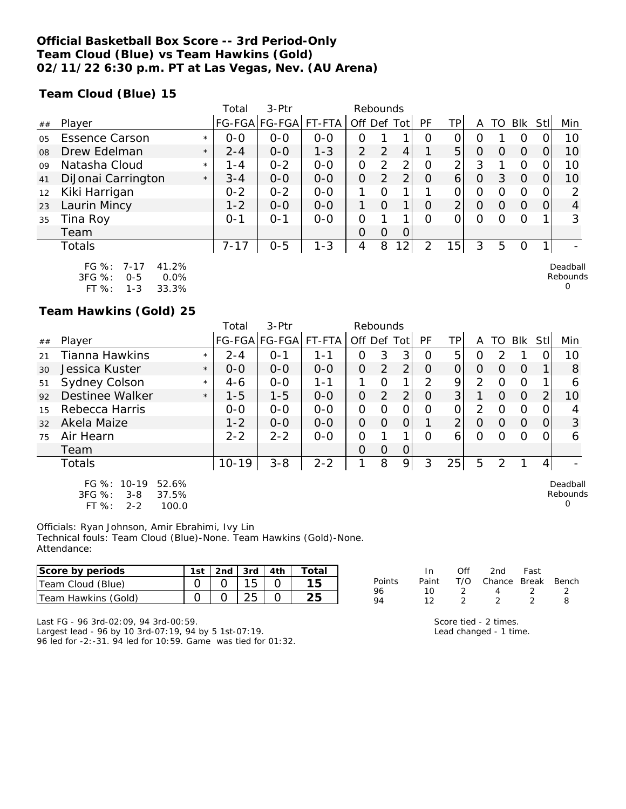### **Official Basketball Box Score -- 3rd Period-Only Team Cloud (Blue) vs Team Hawkins (Gold) 02/11/22 6:30 p.m. PT at Las Vegas, Nev. (AU Arena)**

**Team Cloud (Blue) 15**

|                |                       |         | Total    | $3-Ptr$       |         | Rebounds      |          |      |          |                |          |          |            |      |          |
|----------------|-----------------------|---------|----------|---------------|---------|---------------|----------|------|----------|----------------|----------|----------|------------|------|----------|
| ##             | Player                |         |          | FG-FGA FG-FGA | FT-FTA  | Off Def       |          | Totl | PF       | TP             |          | TO       | <b>BIK</b> | Stll | Min      |
| 0 <sub>5</sub> | <b>Essence Carson</b> | $\star$ | $0-0$    | $0 - 0$       | $0 - 0$ | 0             |          |      | O        |                |          |          | O          |      | 10       |
| 08             | Drew Edelman          | $\star$ | $2 - 4$  | $0 - 0$       | $1 - 3$ | $\mathcal{P}$ | 2        | 4    |          | 5              | 0        |          | $\Omega$   |      | 10       |
| 09             | Natasha Cloud         | $\star$ | 1 - 4    | $0 - 2$       | $0 - 0$ | O             | 2        | 2    | O        | 2              | 3        |          | O          |      | 10       |
| 41             | DiJonai Carrington    | $\star$ | $3 - 4$  | $O-O$         | $0 - 0$ | O             | 2        | 2    | $\circ$  | 6              | O        | 3        | $\Omega$   |      | 10       |
| 12             | Kiki Harrigan         |         | $0 - 2$  | $0 - 2$       | $0 - 0$ |               | $\Omega$ |      |          | 0              | O        | Ω        | O          | 0    | っ        |
| 23             | Laurin Mincy          |         | $1 - 2$  | $0 - 0$       | $0 - 0$ | 1             | $\Omega$ | ◀    | O        | $\overline{2}$ | $\Omega$ | $\Omega$ | $\Omega$   | 0    | 4        |
| 35             | Tina Roy              |         | $O - 1$  | 0-1           | $0-0$   | 0             |          |      | $\Omega$ | Ω              | $\Omega$ | Ω        | $\Omega$   |      | 3        |
|                | Team                  |         |          |               |         | 0             | $\Omega$ | 0    |          |                |          |          |            |      |          |
|                | Totals                |         | $7 - 17$ | $0 - 5$       | $1 - 3$ | 4             | 8        | 2    | っ        | 15             | 3        | 5        | O          |      |          |
|                | FG %: 7-17<br>41.2%   |         |          |               |         |               |          |      |          |                |          |          |            |      | Deadball |

| FG 70.     | $1 - 11$ | 4 L.Z 70 |
|------------|----------|----------|
| $3FG \%$ : | $0 - 5$  | $0.0\%$  |
| $FT%$ :    | $1 - 3$  | 33.3%    |

**Team Hawkins (Gold) 25**

|    |                                                                                            | Total              | $3-Ptr$              |         | Rebounds    |               |                |          |                |                |          |          |      |                                  |
|----|--------------------------------------------------------------------------------------------|--------------------|----------------------|---------|-------------|---------------|----------------|----------|----------------|----------------|----------|----------|------|----------------------------------|
| ## | Player                                                                                     |                    | FG-FGA FG-FGA FT-FTA |         | Off Def Tot |               |                | PF       | ΤP             | A              | TO       | Blk      | Stll | Min                              |
| 21 | Tianna Hawkins                                                                             | $2 - 4$<br>$\star$ | $O - 1$              | 1 - 1   | 0           | 3             | 3              | Ω        | 5              | 0              |          |          |      | 10                               |
| 30 | Jessica Kuster                                                                             | $0 - 0$<br>$\star$ | $0 - 0$              | $0 - 0$ | 0           | $\mathcal{P}$ | $\overline{2}$ | $\Omega$ | 0              | 0              | 0        | $\Omega$ |      | 8                                |
| 51 | Sydney Colson                                                                              | $4-6$<br>$\star$   | $0 - 0$              | 1-1     |             | Ω             | $\mathbf{1}$   | 2        | 9              | 2              | $\Omega$ | $\Omega$ |      | 6                                |
| 92 | Destinee Walker                                                                            | $1 - 5$<br>$\star$ | $1 - 5$              | $O-O$   | 0           | 2             | 2 <sub>1</sub> | O        | 3              |                | 0        | $\Omega$ | 2    | 10                               |
| 15 | Rebecca Harris                                                                             | $0 - 0$            | $0 - 0$              | $0 - 0$ | 0           | $\Omega$      | 0              | O        | 01             | $\overline{2}$ | O        | $\Omega$ |      | 4                                |
| 32 | Akela Maize                                                                                | $1 - 2$            | $O-O$                | $0 - 0$ | 0           | $\Omega$      | $\Omega$       |          | $\overline{2}$ | $\Omega$       | $\Omega$ | $\Omega$ | O    | 3                                |
| 75 | Air Hearn                                                                                  | $2 - 2$            | $2 - 2$              | $0 - 0$ | 0           |               |                | Ω        | 6              | 0              | O        | $\Omega$ |      | 6                                |
|    | Team                                                                                       |                    |                      |         | Ω           | $\Omega$      | $\Omega$       |          |                |                |          |          |      |                                  |
|    | Totals                                                                                     | $10 - 19$          | $3 - 8$              | $2 - 2$ | 1           | 8             | 9              | 3        | 25             | 5              | 2        |          | 4    |                                  |
|    | $FG \%$ :<br>$10 - 19$<br>52.6%<br>3FG %:<br>37.5%<br>$3 - 8$<br>FT %:<br>100.0<br>$2 - 2$ |                    |                      |         |             |               |                |          |                |                |          |          |      | Deadball<br>Rebounds<br>$\Omega$ |

Officials: Ryan Johnson, Amir Ebrahimi, Ivy Lin Technical fouls: Team Cloud (Blue)-None. Team Hawkins (Gold)-None. Attendance:

| Score by periods    | 1st | 2nd | 3rd | 4th | ⊺otal |          |       | 2nd    | Fast  |       |
|---------------------|-----|-----|-----|-----|-------|----------|-------|--------|-------|-------|
| Team Cloud (Blue)   |     |     | J   |     |       | Points   | Paint | Chance | Break | Bench |
| Team Hawkins (Gold) |     |     | ້   |     | つに    | 96<br>94 |       |        |       |       |

Last FG - 96 3rd-02:09, 94 3rd-00:59. Largest lead - 96 by 10 3rd-07:19, 94 by 5 1st-07:19. 96 led for -2:-31. 94 led for 10:59. Game was tied for 01:32.

|      | $\mathsf{In}$ | $($ ) $^{\dagger}$ $^{\dagger}$ | - 2nd - Fast                 |  |
|------|---------------|---------------------------------|------------------------------|--|
| ints |               |                                 | Paint T/O Chance Break Bench |  |
|      | 10            | $\overline{2}$                  | $\mathbf{\Delta}$            |  |
|      | 12            |                                 |                              |  |
|      |               |                                 |                              |  |

Rebounds 0

Score tied - 2 times. Lead changed - 1 time.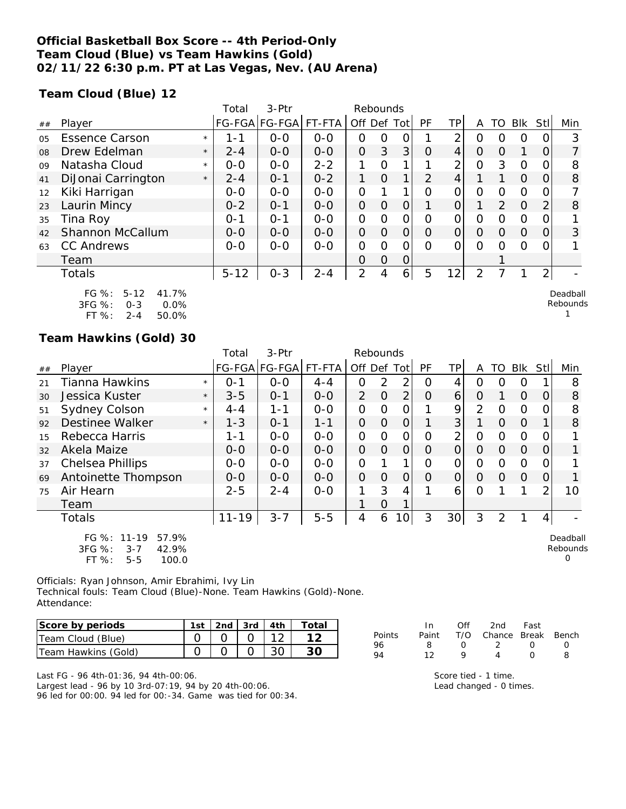### **Official Basketball Box Score -- 4th Period-Only Team Cloud (Blue) vs Team Hawkins (Gold) 02/11/22 6:30 p.m. PT at Las Vegas, Nev. (AU Arena)**

**Team Cloud (Blue) 12**

|    |                                                                                      | Total              | 3-Ptr                 |         | Rebounds       |                |                |          |                |                |          |          |                  |                      |
|----|--------------------------------------------------------------------------------------|--------------------|-----------------------|---------|----------------|----------------|----------------|----------|----------------|----------------|----------|----------|------------------|----------------------|
| ## | Player                                                                               |                    | FG-FGA FG-FGA  FT-FTA |         | Off Def Tot    |                |                | PF       | TP.            | A              | TO       | Blk      | Stll             | Min                  |
| 05 | <b>Essence Carson</b>                                                                | $1 - 1$<br>$\star$ | $O-O$                 | $0 - 0$ | Ο              | Ο              |                |          | 2              | Ο              | O        | O        |                  | 3                    |
| 08 | Drew Edelman                                                                         | $2 - 4$<br>$\star$ | $0 - 0$               | $0-0$   | $\Omega$       | 3              | 3              | $\Omega$ | 4              | 0              | $\Omega$ | 1        | O                |                      |
| 09 | Natasha Cloud                                                                        | $0 - 0$<br>$\star$ | $0 - 0$               | $2 - 2$ |                | Ω              | 1.             |          | 2              | 0              | 3        | $\Omega$ |                  | 8                    |
| 41 | DiJonai Carrington                                                                   | $2 - 4$<br>$\star$ | $0 - 1$               | $0 - 2$ | 1              | $\overline{O}$ | 1              | 2        | 4              |                |          | $\Omega$ | Ő                | 8                    |
| 12 | Kiki Harrigan                                                                        | $0 - 0$            | $O-O$                 | $0-0$   | $\overline{O}$ |                | 1 <sub>1</sub> | O        | 0              | 0              | $\Omega$ | $\Omega$ | $\left( \right)$ |                      |
| 23 | Laurin Mincy                                                                         | $0 - 2$            | $O - 1$               | $0-0$   | $\Omega$       | $\Omega$       | $\Omega$       |          | 0              | 1              | 2        | $\Omega$ | 2                | 8                    |
| 35 | Tina Roy                                                                             | $0 - 1$            | $0 - 1$               | $0-0$   | 0              | Ω              | 0              | 0        | 0              | 0              | 0        | $\Omega$ |                  |                      |
| 42 | Shannon McCallum                                                                     | $0 - 0$            | $0-0$                 | $0-0$   | $\mathcal{O}$  | $\Omega$       | $\Omega$       | $\Omega$ | $\overline{O}$ | $\Omega$       | $\Omega$ | $\Omega$ | 0                | 3                    |
| 63 | <b>CC Andrews</b>                                                                    | $0 - 0$            | $0-0$                 | $0-0$   | O              | Ω              | ∩              | $\Omega$ | 0              | $\Omega$       | $\Omega$ | $\Omega$ |                  |                      |
|    | Team                                                                                 |                    |                       |         | O              | $\Omega$       | 0              |          |                |                |          |          |                  |                      |
|    | <b>Totals</b>                                                                        | $5 - 12$           | $0 - 3$               | $2 - 4$ | $\overline{2}$ | 4              | $\overline{6}$ | 5        | 12             | $\overline{2}$ |          |          | $\overline{2}$   |                      |
|    | FG %:<br>$5 - 12$<br>41.7%<br>3FG %:<br>0.0%<br>$0 - 3$<br>FT %:<br>50.0%<br>$2 - 4$ |                    |                       |         |                |                |                |          |                |                |          |          |                  | Deadball<br>Rebounds |

#### **Team Hawkins (Gold) 30**

|    |                                                                                 |         | Total     | 3-Ptr                |         | Rebounds |                |                |          |                |          |                  |            |          |                           |
|----|---------------------------------------------------------------------------------|---------|-----------|----------------------|---------|----------|----------------|----------------|----------|----------------|----------|------------------|------------|----------|---------------------------|
| ## | Player                                                                          |         |           | FG-FGA FG-FGA FT-FTA |         | Off Def  |                | Tot            | PF       | ΤP             | A        | TO               | <b>Blk</b> | Stl      | Min                       |
| 21 | Tianna Hawkins                                                                  | $\star$ | $O - 1$   | $0 - 0$              | $4 - 4$ | Ο        | 2              | 2              | O        | 4              | 0        | $\left( \right)$ | O          |          | 8                         |
| 30 | Jessica Kuster                                                                  | $\star$ | $3 - 5$   | $0 - 1$              | $0 - 0$ | 2        | $\Omega$       | $\overline{2}$ | $\Omega$ | 6              | $\Omega$ |                  | $\Omega$   | $\left($ | 8                         |
| 51 | <b>Sydney Colson</b>                                                            | $\star$ | $4 - 4$   | $1 - 1$              | $0-0$   | 0        | 0              | $\mathcal{O}$  |          | 9              | 2        | $\Omega$         | $\Omega$   |          | 8                         |
| 92 | Destinee Walker                                                                 | $\star$ | $1 - 3$   | $O - 1$              | $1 - 1$ | $\Omega$ | $\Omega$       | $\overline{O}$ |          | 3 <sup>1</sup> |          | $\Omega$         | $\Omega$   |          | 8                         |
| 15 | Rebecca Harris                                                                  |         | 1-1       | $0 - 0$              | $0 - 0$ | 0        | $\Omega$       | 0              | $\Omega$ | 2              | 0        | $\Omega$         | $\Omega$   |          |                           |
| 32 | Akela Maize                                                                     |         | $O-O$     | $0 - 0$              | $0 - 0$ | $\Omega$ | $\Omega$       | $\Omega$       | $\Omega$ | $\Omega$       | 0        | $\Omega$         | $\Omega$   | 0        |                           |
| 37 | Chelsea Phillips                                                                |         | $0 - 0$   | $0 - 0$              | $0 - 0$ | $\Omega$ |                |                | O        | 0              | 0        | 0                | $\Omega$   |          |                           |
| 69 | Antoinette Thompson                                                             |         | $0 - 0$   | $0 - 0$              | $0 - 0$ | $\Omega$ | 0              | $\Omega$       | $\Omega$ | 0              | $\Omega$ | $\Omega$         | $\Omega$   | O        |                           |
| 75 | Air Hearn                                                                       |         | $2 - 5$   | $2 - 4$              | $0-0$   | 1        | 3              | 4              |          | 6              | 0        |                  |            | 2        | 10                        |
|    | Team                                                                            |         |           |                      |         |          | $\overline{O}$ |                |          |                |          |                  |            |          |                           |
|    | <b>Totals</b>                                                                   |         | $11 - 19$ | $3 - 7$              | $5 - 5$ | 4        | 6              | 10             | 3        | 30             | 3        | 2                |            | 4        |                           |
|    | FG %: 11-19<br>57.9%<br>3FG %:<br>42.9%<br>$3 - 7$<br>FT %:<br>100.0<br>$5 - 5$ |         |           |                      |         |          |                |                |          |                |          |                  |            |          | Deadball<br>Rebounds<br>0 |

Officials: Ryan Johnson, Amir Ebrahimi, Ivy Lin Technical fouls: Team Cloud (Blue)-None. Team Hawkins (Gold)-None. Attendance:

| Score by periods    | 1st | ∟2nd   3rd   4th |  |  |
|---------------------|-----|------------------|--|--|
| Team Cloud (Blue)   |     |                  |  |  |
| Team Hawkins (Gold) |     |                  |  |  |

Last FG - 96 4th-01:36, 94 4th-00:06. Largest lead - 96 by 10 3rd-07:19, 94 by 20 4th-00:06. 96 led for 00:00. 94 led for 00:-34. Game was tied for 00:34.

| In In |                  | 2nd            | Fast             |                              |
|-------|------------------|----------------|------------------|------------------------------|
|       |                  |                |                  |                              |
| -8    | $\left( \right)$ | $\overline{2}$ | $\left( \right)$ | $\left( \right)$             |
| 12    | o                |                | $\left( \right)$ |                              |
|       |                  |                | Off              | Paint T/O Chance Break Bench |

Score tied - 1 time. Lead changed - 0 times.